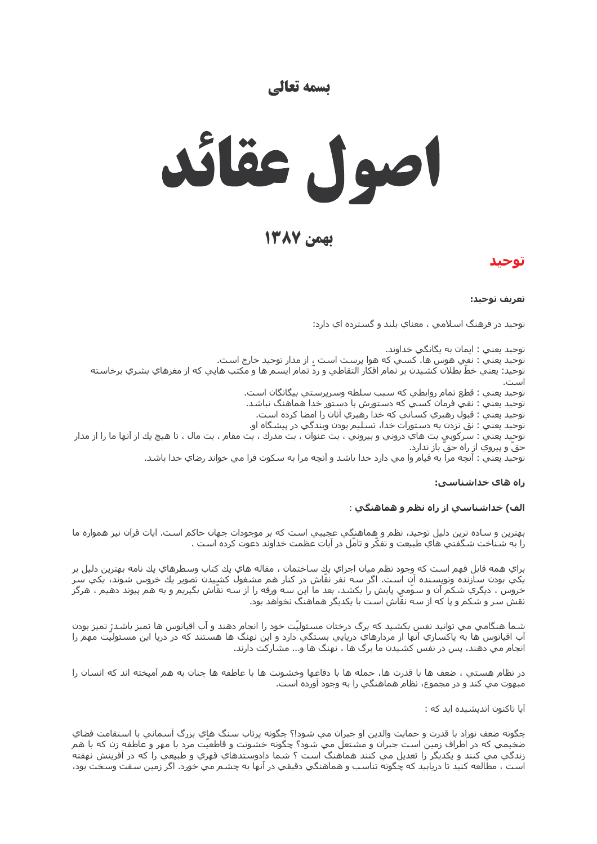## تسمه تعالى



بهمن ١٣٨٧

## توحىد

#### تعريف توحيد:

توحيد در فرهنگ اسـلامي ، معناي بلند و گسـترده اي دارد:

توحيد يعني : ايمان به يگانگي خداوند. توحيد يعني : نفي هوس ها. كسـي كه هوا پرسـت اسـت ، از مدار توحيد خارج اسـت. توحيد: يعني خطِّ بطلان كشـيدن بر تمام افكار التقاطي و ردّ تمام ايسـم ها و مكتب هايي كه از مغزهاي بشـري برخاسـته

توحيد يعني : قطع تمام روابطي كه سبب سلطه وسرپرستي بيگانگان است.

توحيد يعني : نفي فرمان كسـي كه دسـتورش با دسـتور خدا هماهنگ نباشـد.

توحيد يعني : قبول رهبري كسـاني كه خدا رهبري آنان را امضا كرده اسـت.

توحيد يعني : نق نزدن به دستورات خدا، تسليم بودن وبندگي در پيشگاه او.

توحيد يعني : سـركوبي بت هاي دروني و بيروني ، بت عنوان ، بت مدرك ، بت مقام ، بت مال ، تا هيچ يك از آنها ما را از مدار حق و پیروي از راه حقّ باز ندارد.

توحيد يعني : آنچه مرا به قيام وا مي دارد خدا باشد و آنچه مرا به سكوت فرا مي خواند رضاي خدا باشد.

#### راه های خداشناسی:

#### الف) خداشناسی از راه نظم و هماهنگی :

بهترين و سـاده ترين دليل توحيد، نظم و هماهنگي عجيبي اسـت كه بر موجودات جهان حاكم اسـت. آيات قرآن نيز همواره ما را به شـناخت شـگفتي هاي طبيعت و تفكّر و تامّل در آيات عظمت خداوند دعوت كرده اسـت .

براي همه قابل فهم است كه وجود نظم ميان اجزاي يك ساختمان ، مقاله هاي يك كتاب وسطرهاي يك نامه بهترين دليل بر يکي بودن سازنده ونويسنده آن است. اگر سه نفر نقّاش در کنار هم مشغول کشييدن تصوير يك خروس شوند، يکي سر خَروس َ، دیگریِ شکم َآن و سوّمي پایش را بکشد، بعد ما این سه ورقه را از سه نقّاش بگیریَمَ و به هَمَ پَیوند دهیمَ ، هرگز<br>نقش سر و شکم و پا که از سه نقّاش است با یکدیگر هماهنگ نخواهد بود.

شما هنگامپ مي توانيد نفس بکشيد که برگ درختان مسئوليّت خود را انجام دهند و آب اقيانوس ها تميز باشد; تميز بودن آب اقيانوس ها به پاکسازي آنها از مردارهاي دريايي بستگي دارد و اين نهنگ ها هستند که در دريا اين مسئوليّت مهم را انجام مي دهند، پس در نفس كشيدن ما برگ ها ، نهنگ ها و... مشاركت دارند.

در نظام هستي ، ضعف ها با قدرت ها، حمله ها با دفاعها وخشونت ها با عاطفه ها چنان به هم آميخته اند كه انسان را مبهوت مي كند و در مجموع، نظام هماهنگي را به وجود آورده است.

آیا تاکنون اندیشیده اید که :

چگونه ضعف نوزاد با قدرت و حمايت والدين او جبران مي شود!؟ چگونه پرتاب سنگ هاي بزرگ آسماني با استقامت فضاي ضخيمي كه در اطراف زمين است جبران و مشتعل مي شود؟ چگونه خشونت و قاطعيَت مرد با مهر و عاطفه زن كه با هم زندگي مي كنند و يكديگر را تعديل مي كنند هماهنگ است ؟ شما دادوستدهاي قهري و طبيعي را كه در آفرينش نهفته است ، مطالعه کنيد تا دريابيد که چگونه تناسب و هماهنگي دقيقي در آنها به چشم مي خورد. اگر زمين سفت وسخت بود،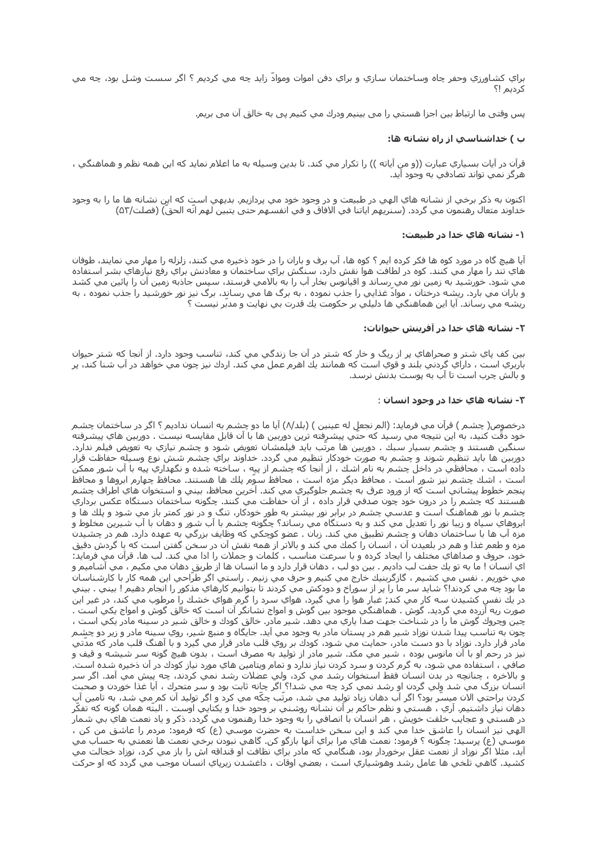براي کشاورزي وحفر چاه وساختمان سازي و براي دفن اموات ومواد زايد چه مي کرديم ؟ اگر سست وشل بود، چه مي كرديم !؟

پس وقتي ما ارتباط بين اجزا هسـتي را مي بينيم ودرك مي كنيم پي به خالق آن مي بريم.

### ب ) خداشناسی از راه نشانه ها:

قرآن در آيات بسـياري عبارت ((و من آياته )) را تكرار مي كند. تا بدين وسـيله به ما اعلام نمايد كه اين همه نظم و هماهنگي ، هرگز نمي تواند تصادفي به وجود آيد.

اکنون به ذکر برخي از نشانه هاي الهي در طبيعت و در وجود خود مي پردازيم. بديهي است که اين نشانه ها ما را به وجود خداوند متعال رهنمون مي گردد. (سـنريهم اياتنا في الافاق و في انفسـهم حتى يتبين لهم انّه الحقّ) (فصلت/۵۳)

#### ۱- نشانه هاي خدا در طبيعت:

آيا هيچ گاه در مورد کوه ها فکر کرده ايم ؟ کوه ها، آب برف و باران را در خود ذخيره مي کنند، زلزله را مهار مي نمايند، طوفان هاي تند را مهار مي كنند. كوه در لطافت هوا نقش دارد، سنگش براي ساختمان و معادنش براي رفع نيازهاي بشـر اسـتفاده مي شود. خورشيد به زمين نور مي ٍرساند و اقيانوس بخار آب را به بالامي فرستد، سپس جاذبه زمين آن را پائين مي كشد و بآران مَي بارَد. ريشه درختان ، موادّ غذايي را جذب نموده ، به برگ ها مي رساند، برگ نيز نور خورشـيد را جذب نموده ، به ريشه مي رساند. آيا اين هماهنگي ها دليلي بر حكومت يك قدرت بي نهايت و مدبّر نيست ؟

#### ٢- نشانه هاي خدا در آفرينش حيوانات:

بين كف پاي شتر و صحراهاي پر از ريگ و خار كه شتر در ان جا زندگي مي كند، تناسب وجود دارد. از انجا كه شتر حيوان باربري است ، داراي گردني بلند و قوي است که همانند يك اهرم عمل مي کند. اردك نيز چون مي خواهد در آب شنا کند، پر و بالش چرب است تا آب به پوست بدنش نرسد.

#### ٣- نشانه هاي خدا در وجود انسان :

درخصوص( چشـم ) قرآن مي فرمايد: (الم نجعل له عينين ) (بلد/٨) آيا ما دو چشـم به انسـان نداديم ؟ اگر در سـاختمان چشـم خود دقّت كنيد، به اين نتيجه مي رسـيد كه حتّي پيشـرفته ترين دوربين ها با آن قابل مقايسـه نيسـت . دوربين هاي پيشـرفته سنگین هستند و چشم بسیار سبك . دوربین ها مرتّب باید فیلمشان تعویض شود و چشم نیازي به تعویض فیلم ندارد. دوربين ها بايد تنظيم شوند و چشم به صورت خودكار تنظيم مي گردد. خداوند براي چشم شش نوع وسيله حفاظت قرار داده است ، محافظي در داخل چشم به نام اشك ، از آنجا كه چشم از پيه ، ساخته شده و نگهداري پيه با آب شور ممكن است ، اشك چشم نیز شور است . محافظ دیگر مژه است ، محافظ سوم پلك ها هستند. محافظ چهارم ابروها و محافظ پنجم خطوط پيشاني است كه از ورود عرق به چشـم جلوگيري مي كند. آخرين محافظ، بيني و استخوان هاي اطراف چشـم هستند كه چشم را در درون خود چون صدفي قرار داده ، از آن حفاظت مي كنند. چگونه ساختمان دستگاه عكس برداري چشم با نور هماهنگ است و عدسـي چشـم در برابر نور بيشـتر به طور خودکار، تنگ و در نور کمتر باز مي شـود و پلك ها و ابروهاي سياه و زيبا نور را تعديل مي كند و به دستگاه مي رساند؟ چگونه چشـم با آب شـور و دهان با آب شـيرين مخلوط و مزه آب ها با ساختمان دهان و چشـم تطبيق مي كند. زبان . عضو كوچكي كه وظايف بزرگي به عهده دارد. هم در چشـيدن مزه و طعم غذا و هم در بلعيدن آن ، انسان را كمك مي كند و بالاتر از همه نقش آن در سخن گفتن است كه با گردش دقيق خود، حروف و صداهاي مختلف را ايجاد كرده و با سـرعت مناسـب ، كلمات و جملات را ادا مي كند. لب ها. قرآن مي فرمايد: اي انسـان ! ما به تو يك جفت لب داديم . بين دو لب ، دهان قرار دارد و ما انسـان ها از طريق دهان مي مكيم ، مي آشـاميم و مي خوريم . نفس مي كشـيم ، گازگربنيك خارج مي كنيم و حرف مي زنيم . راسـتي اگر طرّاحي اين همه كار با كارشـناسـان ما بود چه مي کردند!؟ شايد سـر ما را پر از سـوراخ و دودکش مي کردند تا بتوانيم کارهاي مذکور را انجام دهيم ! بيني . بيني در يك نفس كشيدن سه كار مي كند; غبار هوا را مي گيرد، هواي سرد را گرم هواي خشك را مرطوب مي كند، در غير اين صورت ريه آزرده مي گرديد. گوش . هماهنگي موجود بين گوش و امواج نشانگر آن است كه خالق گوش و امواج يكي است . چينّ وچُروكَ گَوش ما را در شـناخت جـهت صدا ياري مي دهد. شـير مادر. خالق كودك و خالق شـير در سـينه مادر يكي اسـت ، چون به تناسب پیدا شدن نوزاد شیر هم در پستان مادر به وجود می آید. جایگاه و منبع شیر، روي سپنه مادر و زیر دو چشم مادر قرار دارد. نوزاد با دو دست مادر، حمایت می شود، کودك بر روي قلب مادر قرار می گیرد و با آهنگ قلب مادر که مدتی نیز در رحم او با آن مانوس بوده ، شـیر مـي مكد. شـیر مادر از تولید به مصرف اسـت ، بدون هیچ گونه سـر شـیشـه و قیف و صافي ، اسـتفاده مي شـود، به گرم كردن و سـرد كردن نياز ندارد و تمام ويتامين هاي مورد نياز كودك در آن ذخيره شـده اسـت. و بالاخره ، چنانچه در بدن انسان فقط استخوان رشد مي كرد، ولي عضلات رشد نمي كردند، چه پيش مي آمد. اگر سر انسان بزرگ مي شد ولي گردن او رشد نمي كرد چه مي شد!؟ اگر چانه ثابت بود و سر متحرك ، آيا غذا خوردن و صحبت کردن براحتي الان ميسّر بود؟ اگر آب دهان زياد توليد مي شد، مرتّب چکّه مي کرد و اگر توليد آن کم ِمي شد، به تامين آب دهان نياز داشتيم. آري ، هستي و نظم حاكم بر آن نشانه روشني بر وجود خدا و يكتايي اوست . البتّه همان گونه كه تفكَر در هستي و عجايب خلقت خويش ، هر انسان با انصافي را به وجود خدا رهنمون مي گردد، ذكر و ياد نعمت هاي بي شمار الهي نيز انسان را عاشق خدا مي كند و اين سخن خداست به حضرت موسـي (ع) كه فرمود: مردم را عاشق من كن ، موسـي (ع) پرسـيد: چگونه ؟ فرمود: نعمت هاي مرا براي آنها بازگو کن. گاهـي نبودن برخـي نعمت ها نعمتـي به حسـاب مي آيد، مثلا اگر نوزاد از نعمت عقل برخوردار بود، هنگامي كه مادر براي نظافت او قنداقه اش را باز مي كرد، نوزاد خجالت مي كشيد. گاهي تلخي ها عامل رشد وهوشياري است ، بعضي اوقات ، داغشدن زيرپاي انسان موجب مي گردد كه او حركت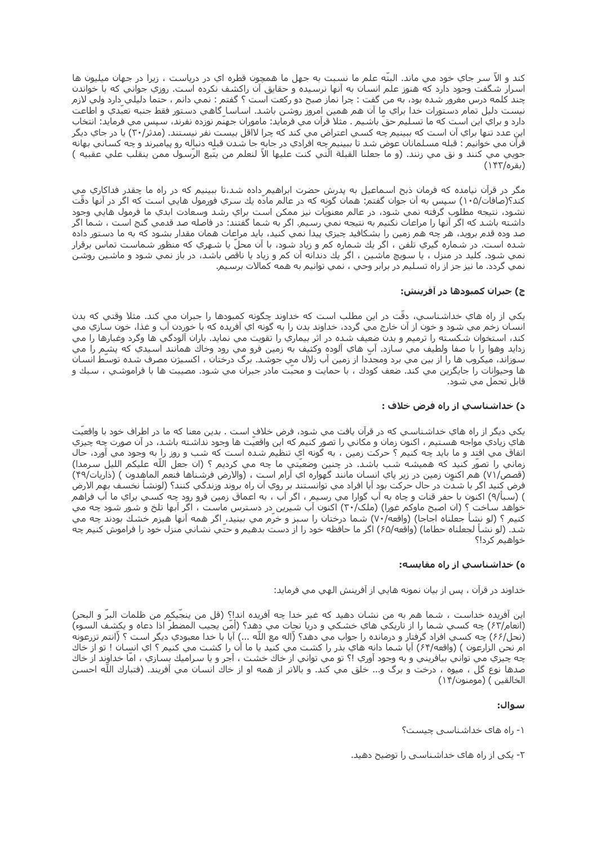كند و الا سر جاي خود مي ماند. البته علم ما نسبت به جهل ما همچون قطره اي در درياست ، زيرا در جهان ميليون ها اسرار شگفت وجود دارد که هنوز علم انسان به آنها نرسیده و حقایق آن راکشف نکرده است. روزي جواني که با خواندن چند كلمه درس مغرور شده بود، به من گفت : چرا نماز صبح دو ركعت است ؟ گفتم : نمي دانم ، حتما دليلي دارد ولي لازم نيست دليل تمام دستورات خدا براي ما آن هم همين امروز روشن باشد. اساسا گاهي دستور فقط جنبه تعُبّدي و اطّاعت ً دارد و براي اين است كه ما تسـليم حقّ باشـيم . مثلا قرآن مي فرمايد: ماموران جهنّم نوزده نفرند، سپس مي فرمايد: انتخاب اين عدد تنها براي آن است كه ببينيم چه كسپ اعتراض مي كند كه چرا لااقل بيست نفر نيستند. (مدثر/۳۰) يا در جاي ديگر قرآن مي خوانيم : قبله مسـلمانان عوض شـد تا ببينيم ٍچه افرادي در جابهٍ جا شـدن قبلِه دنبالِه رو پيامبرند و چه كسـاني بهانه جويي مي كنند و نق مي زنند. (و ما جعلنا القبلة الَّتي كنت عليها الاَّ لنعلم من يتَّبع الرَّسول ممن ينقلب علي عقبيه ) (بقره/۱۴۲)

مگر در قرآن نيامده كه فرمان ذبح اسـماعيل به پدرش حضرت ابراهيم ٍداده شـد،تا ببينيم كه در راه ما چقدر فداكاري مِي کند؟(صافات/١٠۵) سپس به آن جوان گفتم: همان گونه که در عالم مادَه يك سـري فورمول هايي اسـت که اگر در آنها دقَت نشود، نتيجه مطلوب گرفته نمي شود، در عالم معنويات نيز ممكن است براي رشد وسعادت ابدي ما فرمول هايي وجود داشته باشد که اگر آنها را مراعات نکنیم به نتیجه نمي رسـیم. اگر به شـما گفتند: در فاصله صد قدمي گنج اسـت ، شـما اگر صد وده قدم برويد، هر چه هم زمين را بشكافيد چيزي پيدا نمي كنيد، بايد مراعات همان مقدار بشود كه به ما دستور داده شده است. در شماره گیري تلفن ، اگر یك شماره كم و زیاد شود، با آن محلّ یا شـهري كه منظور شـماسـت تماس برقرار نمي شود. کليد در منزل ، يا سويچ ماشـين ، اگر يك دندانه آن کم و زياد يا ناقص باشـد، در باز نمي شـود و ماشـين روشـن نمي گردد. ما نيز جز از راه تسليم در برابر وحي ، نمي توانيم به همه كمالات برسيم.

## ج) جبران کمبودها در آفرینش:

يکي از راه هاي خداشناسـي، دقّت در اين مطلب اسـت که خداوند چگونه کمبودها را جبران مي کند. مثلا وقتي که بدن انسان زخم مي شود و خون از آن خارج مي گردد، خداوند بدن را به گونه اي آفريده كه با خوردن آب و غذا، خون سازي مي کند، استخوان شکسته را ترميم و بدن ضعيف شده در اثر بيماري را تقويت مي نمايد. باران آلودگي ها وگرد وغبارها را مي زدايد وهوا را با صفا ولطيف مي سـازد. آب هاي آلوده وكثيف به زمين فرو مي رود وخاك همانند اسـيدي كه پشـِم را مي سوزاند، ميكروب ها را از بين مي برد ومجدّدا از زمين آب زلال مي جوشد. برگ درختان ، اكسيژن مصرف شده توسّط انسان ها وحيوانات را جايگزين مي كند. ضعف كودك ، با حمايت و محبّت مادر جبران مي شـود. مصيبت ها با فراموشـي ، سـبك و قابل تحمّل مي شـود.

## د) حداشناسي از راه فرض حلاف :

يکي ديگر از راه هاي خداشـناسـي که در قرآن يافت مي شـود، فرض خلاف اسـت . بدين معنا که ما در اطراف خود با واقعيت هاي زيادي مواجه هستيم ، اكنون زمان و مكاني را تصور كنيم كه اين واقعيّت ها وجود نداشته باشد، در آن صورت چه چيزي اتفاق مي افتِد و ما بايد چه كنيم ؟ حركت زمين ، به گونه اي تنظيم شده است كه شب و روز را به وجود مي آورد، حال زماني را تصور كنيد كه هميشه شب باشد. در چنين وضعيتي ما چه مي كرديم ؟ (ان جعل اللّه عليكم الليل سرمدا) (قصص/٧١) هم اکنون زمين در زير پاي انسـان مانند گهواره اي آرام اسـت ، (والارض فرشـناها فنعم الماهدون ) (ذاريات/۴۹) فرض كنيد اگر با شدّت در حال حركت بود آيا افراد مي توانستند بر روي آن راه بروند وزندگي كنند؟ (لونشأ نخسف بهِم الارض ) (سَـبأ/٩) اكنون با حفر قَنات و چاه به آب گوارا مي رسـيم ، اگر آبَ ، به اعماقَ زمينَ فرو رود چه كسَـي براي ما آب فراهمَ خواهد ساخت ؟ (ان اصبح ماوکم غورا) (ملک/۳۰) اکنون آب شيرين در دسترس ماست ، اگر آبها تلخ و شور شود چه مي كنيم ؟ (لو نشا جعلناه اجاجا) (واقعه/٧٠) شما درختان را سبز و خرَم مي بينيد، اگر همه آنها هيزم خشك بودند چه مي شد. (لو نشا لجعلناه حطاما) (واقعه/۶۵) اگر ما حافظه خود را از دست بدهيم و حتي نشاني منزل خود را فراموش کنيم چه خواهيم كرد!؟

## ه) خداشناسپ از راه مقایسه:

خداوند در قرآن ، پس از بيان نمونه هايي از آفرينش الهي مي فرمايد:

اين آفريده خداست ، شـما هم به من نشـان دهيد كه غير خدا چه آفريده اند!؟ (قل من ينجّيكم من ظلمات البرّ و البحر) (انعام/٤٢) چه کسـي شـما را از تاريکي هاي خشـکي و دريا نجات مي دهد؟ (آمَن يجيب المضطرَ اذا دعاه و يکشـف السـوء) (نحل/۶۶) چه کسـي افراد گرفتار و درمانده را جواب مي دهد؟ (ّاله مع اللّه ...) آيا با خدا معبودي ديگر است ؟ (انتم تزرعونه ام نحن الزارعون ) (واقعه/۶۴) آيا شما دانه هاي بذر را كشت مي كنيد يا ما آن را كشت مي كنيم ؟ اي انسان ! تو از خاك چه چيزي مي تواني بيافريني و به وجود آوري !؟ تو مي تواني از خاك خشت ، آجر و يا سراميك بسازي ، امّا خداوند از خاك صدها نوع گل ، ميوه ، درخت و برگ و... خلق مي كند. و بالاتر از همه او از خاك انسان مي آفريند. (فتبارك اللّه احسن الخالقين ) (مومنون/١۴)

## سوال:

۱- راه هاک خداشناسبی چیست؟

۲- یکی از راه هاک خداشناسی را توضیح دهید.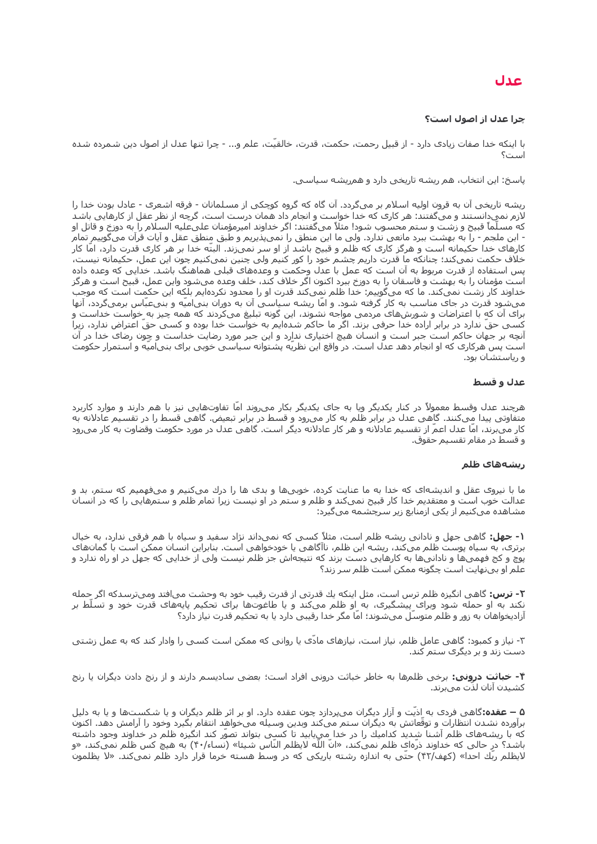# عدل

## چرا عدل از اصول است؟

با اینکه خدا صفات زیادی دارد - از قبیل رحمت، حکمت، قدرت، خالقیّت، علم و... - چرا تنها عدل از اصول دین شمرده شده است؟

پاسخ: این انتخاب، هم ریشه تاریخی دارد و همریشه سیاسی.

ریشه تاریخی آن به قرون اولیه اسلام بر میگردد. آن گاه که گروه کوچکی از مسلمانان - فرقه اشعری - عادل بودن خدا را لازم نمیدانستند و می&فتند: هر کارک که خدا خواست و انجام داد همان درست است، گرچه از نظر عقل از کارهایی باشد که مسـلَّماً قبيح و زشت و سـتم محسـوب شـود! مثلاً مي§غتند: اگر خداوند اميرمؤمنان علىعليه السـلام را به دوزخ و قاتل او - ابن ملجم - را به بهشت ببرد مانعی ندارد. ولی ما این منطق را نمیپذیریم و طبق منطق عقل و آیات قرآن میگوییم تمام کارهای خدا حکیمانه است و هرگز کاری که ظلم و قبیح باشد از او سر نمیزند. البتَه خدا بر هر کاری قدرت دارد، امّا کار خلاف حکمت نمیکند؛ چنانکه ما قدرت داریم چشم خود را کور کنیم ولی چنین نمیکنیم چون این عمل، حکیمانه نیست، پس استفاده از قدرت مربوط به آن است که عمل با عدل وحکمت و وعدههای قبلی هماهنگ باشد. خدایی که وعده داده است مؤمنان را به بهشت و فاسقان را به دوزخ ببرد اکنون اگر خلاف کند، خلف وعده میشود واین عمل، قبیح است و هرگز خداوند کار زشت نمیکند. ما که میگوییم: خدا ظلم نمیکند قدرت او را محدود نکردهایم بلکه این حکمت است که موجب ميشود قدرت در جاک مناسب به کار گرفته شود. و امّا ريشه سـياسـي آن به دوران بني|ميّه و بنيءـبّاس برميگردد، آنها براک آن که با اعتراضات و شورشهای مردمی مواجه نشوند، این گونه تبلیغ میکردند که همه چیز به خواست خداست و کُسَبِي حقَّ ندارد در برابر اراده خدا حرفيَ بزند. اگَر ما حاکم شدّهايمَ به خواستَ خدا بوده و کسـي حقّ اعتراض ندارد، زيراً آنچه بر جهان حاکم است جبر است و انسان هیچ اختیارک ندارد و این جبر مورد رضایت خداست و چون رضای خدا در آن است پس هرکارک که او انجام دهد عدل است. در واقع این نظریّه پشتوانه سیاسپی خوبی براک بنبیامیّه و استمرار حکومت و ریاستشان بود.

#### عدل و قسط

هرچند عدل وقسط معمولاً در کنار یکدیگر ویا به جای یکدیگر بکار می٫وند اماً تفاوتهایی نیز با هم دارند و موارد کاربرد متفاوتی پیدا میکنند. گاهی عدل در برابر ظلم به کار میرود و قسط در برابر تبعیض. گاهی قسط را در تقسیم عادلانه به کار میبرند، امّا عدل اعمّ از تقسیم عادلانه و هر کار عادلانه دیگر است. گاهی عدل در مورد حکومت وقضاوت به کار میرود و قسط در مقام تقسیم حقوق.

#### ریشەھاک ظلم

ما با نیروی عقل و اندیشهای که خدا به ما عنایت کرده، خوبیها و بدی ها را درك میکنیم و میفهمیم که ستم٬ بد و عدالت خوب است و معتقدیم خدا کار قبیح نمیکند و ظلم و ستم در او نیست زیرا تمام ظلم و ستمرهایی را که در انسان مشاهده میکنیم از یکی ازمنابع زیر سرچشمه میگیرد:

**۱- جهل:** گاهی جهل و نادانی ریشه ظلم است، مثلاً کسبی که نمیداند نژاد سفید و سپاه با هم فرقی ندارد، به خیال برتری، به سپاه پوست ظلم میکند، ریشه این ظلم، ناآگاهی یا خودخواهی است. بنابراین انسان ممکن است با گمانهای پوچ و کج فهمیها و نادانیها به کارهایی دست بزند که نتیجهاش جز ظلم نیست ولی از خدایی که جهل در او راه ندارد و علم او بینهایت است چگونه ممکن است ظلم سر زند؟

**۲- ترس:** گاهی انگیزه ظلم ترس است، مثل اینکه یك قدرتی از قدرت رقیب خود به وحشت می|فتد ومیترسدکه اگر حمله نکند به او حمله شود وبرای پیشگیری، به او ظلم میکند و یا طاغوتها برای تحکیم پایههای قدرت خود و تسلّط بر آزادیخواهان به زور و ظلم متوسل میشوند؛ اما مگر خدا رقیبی دارد یا به تحکیم قدرت نیاز دارد؟

۳- نیاز و کمبود: گاهی عامل ظلم، نیاز است، نیازهای مادّی یا روانی که ممکن است کسی را وادار کند که به عمل زشتی دست زند و بر دیگرک ستم کند.

**۴- خباثت درونی:** برخی ظلمها به خاطر خباثت درونی افراد است؛ بعضی سادیسم دارند و از رنج دادن دیگران یا رنج كشيدن آنان لذّت ميبرند.

**۵ – عقده:**گاهی فردی به اذیَت و آزار دیگران میپردازد چون عقده دارد. او بر اثر ظلم دیگران و یا شکستها و یا به دلیل برآورده نشدن انتظارات و توقّعاتش به دیگران ستم میکند وبدین وسیله میخواهد انتقام بگیرد وخود را آرامش دهد. اکنون که با ريشههای ظلم آشنا شِديد کداميك را در خدا مِييابيد تا کسـِی بتواند تصوّر کند انگيزه ظلم در خداوند وجود داشته باشد؟ در حالي كه خداوند ذرَّهاي ظلم نميكند، «انَّ اللَّه لايظلم النَّاس شـيئا» (نَساء/۴۰) به هيچ كس ظلم نميكند، «و لایظلم ربّك احدا» (کهف/۴۲) حتّی به اندازه رشته باریکی که در وسط هسته خرما قرار دارد ظلم نمیکند. «لا یظلمون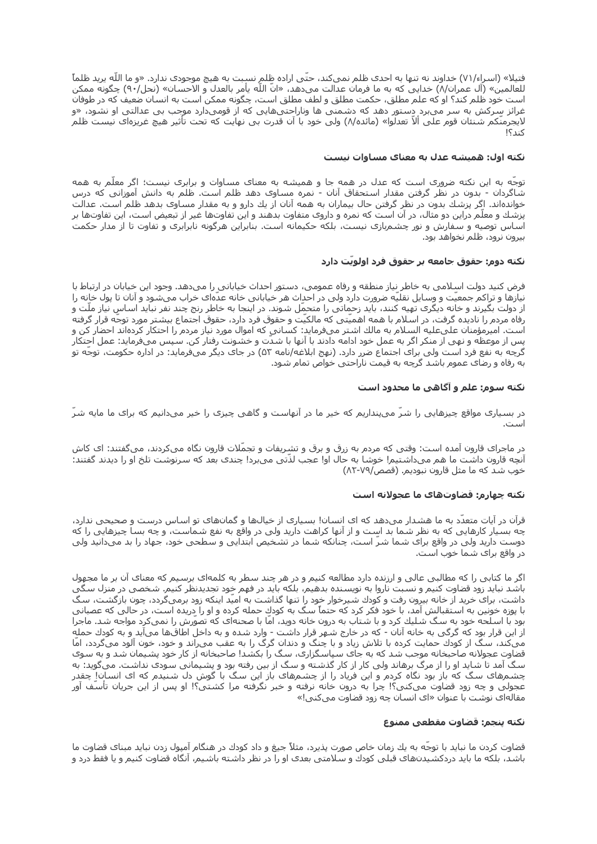فتیلا» (اسراء/٧١) خداوند نه تنها به احدی ظلم نمیکند، حتّی اراده ظلم نسبت به هیچ موجودی ندارد. «و ما اللّه پرید ظلماً للعالمين» (آل عمران/٨) خدايي كه به ما فرمان عدالت ميدهد، «ان الله يامر بالعدل و الاحسان» (نحل/٩٠) چگونه ممكن است خود ظلم كند؟ او كه علم مطلق، حكمت مطلق و لطف مطلق است، چگونه ممكن است به انسان ضعيف كه در طوفان غرائز سرکش به سر میبرد دستور دهد که دشمنی ها وناراحتیهایی که از قومیدارد موجب بی عدالتی او نشود، «و لایجرمنّکم شـنئان قوم علـی ألاّ تعدلوا» (مائده/٨) ولی خود با آن قدرت بی نهایت که تحت تأثیر هیچ غریزهای نیست ظلم

#### نکته اول: همیشه عدل به معنای مساوات نیست

توجّه به این نکته ضرورک است که عدل در همه جا و همیشه به معناک مساوات و برابرک نیست؛ اگر معلّم به همه شاگردان - بدون در نظر گرفتن مقدار استحقاق آنان - نمره مساوک دهد ظلم است. ظلم به دانش آموزانی که درس خواندهاند. اگر پزشك بدون در نظر گرفتن حال بیماران به همه آنان از یك دارو و به مقدار مساوک بدهد ظلم است. عدالت پزشك و معلّم دراين دو مثال، در آن است كه نمره و داروک متفاوت بدهند و اين تفاوتها غير از تبعيض است، اين تفاوتها بر اساس توصیه و سفارش و نور چشمربازی نیست، بلکه حکیمانه است. بنابراین هرگونه نابرابری و تفاوت تا از مدار حکمت بیرون نرود، ظلم نخواهد بود.

## نکته دوم: حقوق جامعه بر حقوق فرد اولويّت دارد

فرض کنید دولت اسٍلامی به خاطر نِیاز منطقه و رفاه عمومی، دستور احداث خیابانی را میدهد. وجود این خِیابان در ارتباط با نیازها و تراکم جمعیت و وسایل نقلیه ضرورت دارد ولی در احداث هر خیابانی خانه عدهاک خراب میشود و آنان تا پول خانه را از دولت بگیرند و خانه دیگرک تهیه کنند، باید زحماتی را متحمل شـوند. در اینجا به خاطر رنج چند نفر نباید اسـاس نیاز ملت و رفاه مردم را نادیده گرفت، در اسـلام با همه اهمیّتی که مالکیّت و حقوق فرد دارد، حقوق اجتماع بیشـتر مورد توجّه قرار گرفته است. اميرمؤمنان علىعليه السلام به مالك اشتر ميفرمايد: كساني كه اموال مورد نياز مردم را احتكار كردهاند احضار كن و پس از موعظه و نهی از منکر اگر به عمل خود ادامه دادند با آنها با شدت و خشونت رفتار کن. سپس میفرماید: عمل احتکار گرچه به نفع فرد است ولی برای اجتماع ضرر دارد. (نهج ابلاغه/نامه ۵۳) در جای دیگر میفرماید: در اداره حکومت، توجّه تو به رفاه و رضای عموم باشد گرچه به قیمت ناراحتی خواص تمام شـود.

## نکته سوم: علم و آگاهی ما محدود است

در بسپارک مواقع چیزهایی را شرّ میپنداریم که خیر ما در آنهاست و گاهی چیزک را خیر میدانیم که براک ما مایه شرّ است.

در ماجرای قارون آمده است: وقتی که مردم به زرق و برق و تشریفات و تجمّلات قارون نگاه میکردند، میگفتند: ای کاش آنچه قارون داشت ما هم میداشتیم! خوشا به حال او! عجب لذّتی میبرد! چندی بعد که سرنوشت تلخ او را دیدند گفتند: خوب شد که ما مثل قارون نبودیم. (قصص/٧٩-٨٢)

## نکته چهارم: قضاوتهای ما عجولانه است

قرآن در آیات متعدّد به ما هشدار میدهد که ای انسان! بسیاری از خیالها و گمانهای تو اساس درست و صحیحی ندارد، چه بسیار کارهایی که به نظر شما بد است و از آنها کراهت دارید ولی در واقع به نفع شماست، و چه بسا چیزهایی را که دوست دارید ولی در واقع برای شما شرّ است، چنانکه شما در تشخیص ابتدایی و سطحی خود، جهاد را بد میدانید ولی در واقع براک شما خوب است.

اگر ما کتابی را که مطالبی عالی و ارزنده دارد مطالعه کنیم و در هر چند سطر به کلمهای برسیم که معناک آن بر ما مجهول باشد نباید زود قضاوت کنیم و نسبت ناروا به نویسنده بدهیم، بلکه باید در فهم خود تجدیدنظر کنیم. شخصی در منزل سگی داشت، برای خرید از خانه بیرون رفت و کودك شـیرخوار خود را تنها گذاشت به امیّد اینکه زود برمیگردد، چون بازگشت، سگ با پوزه خونین به استقبالش آمد، با خود فکر کرد که حتماً سگ به کودكِ حمله کرده و او را دِریده است، در حالی که عصبانی بود با اسـلحه خود به سـگ شـلیك كرد و با شـتاب به درون خانه دوید، امّا با صحنهای كه تصوّرش را نمیكرد مواجه شـد. ماجرا از این قرار بود که گرگی به خانه آنان - که در خارج شـهر قرار داشـت - وارد شـده و به داخل اطاقها میآید و به کودك حمله میکند، سگ از کودك حمایت کرده با تلاش زیاد و با چنگ و دندان گرگ را به عقب می٫اند و خود، خون آلود میگردد، امّا قضاوت عجولانه صاحبخانه موجب شد که به جاک سپاسگزاری، سگ را بکشد! صاحبخانه از کار خود پشیمان شد و به سوی سگ آمد تا شاید او را از مرگ برهاند ولی کار از کار گذشته و سگ از بین رفته بود و پشیمانی سودی نداشت. میگوید: به چشمهای سگ که باز بود نگاه کردم و این فریاد را از چشمهای باز این سگ با گوش دل شنیدم که ای انسان! چقدر عجولی و چه زود قضاوت میکنی؟! چرا به درون خانه نرفته و خبر نگرفته مرا کشـتی؟! او پس از این جریان تأسّف آور مقالهای نوشت با عنوان «ای انسان چه زود قضاوت میکنی!»

#### نكته ينجم: قضاوت مقطعي ممنوع

قضاوت کردن ما نباید با توجه به یك زمان خاص صورت پذیرد، مثلاً جیغ و داد کودك در هنگام آمپول زدن نباید مبناک قضاوت ما باشد، بلکه ما باید دردکشیدنهای قبلی کودك و سلامتی بعدی او را در نظر داشته باشیم، آنگاه قضاوت کنیم و یا فقط درد و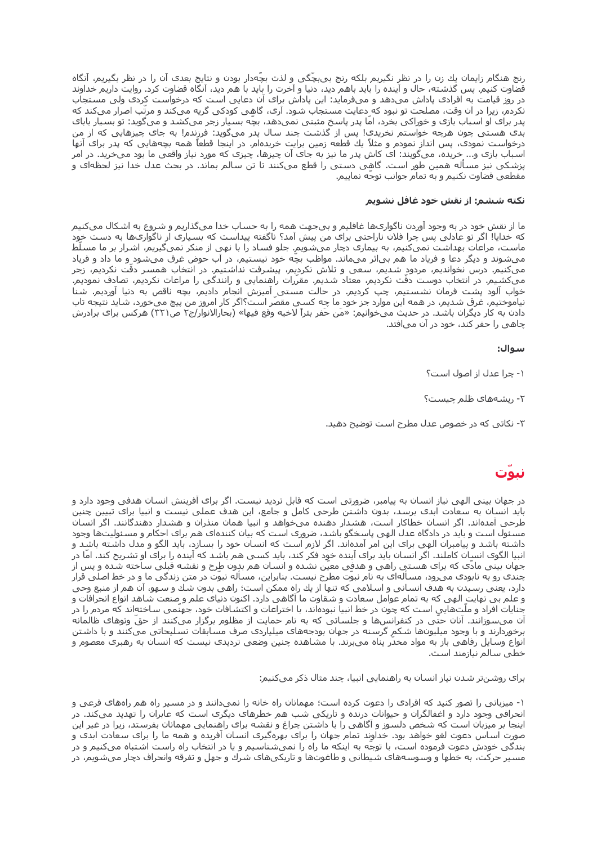رنج هنگام زایمان یك زن را در نظر نگیریم بلكه رنج بی٬چگی و لذت بچّهدار بودن و نتایج بعدک آن را در نظر بگیریم٬ آنگاه قضاوت کنیم. پس گذشته، حال و آینده را باید باهم دید، دنیا و آخرت را باید با هم دید، آنگاه قضاوت کرد. روایت داریم خداوند در روز قیامت به افرادی پاداش میدهد و میفرماید: این پاداش برای ان دعایی است که درخواست کردی ولی مستجاب نکُردم، زیرا در آن وقت، مصلحت تو نبود که دعایت مستجاب شود. آرک، گاهی کودکی گریه میکند و مرتّب اصرار میکند که پدر برای او اسباب بازی و خوراکی بخرد، اما پدر پاسخ مثبتی نمیدهد، بچه بسیار زجر میکشد و میگوید: تو بسیار بابای بدی هستی چون هرچه خواستم نخریدی! پس از گذشت چند سال پدر میگوید: فرزندم! به جای چیزهایی که از من درخواست نمودی، پس انداز نمودم و مثلاً یك قطعه زمین برایت خریدهام. در اینجا قطعاً همه بچههایی كه پدر برای آنها اسپاپ بازې و... خرېده، مېگويند: اې کاش پدر ما نيز په جاې آن چيزها، چيزې که مورد نياز واقعي ما پود مېخرېد. در امر پزشکی نیز مسأله همین طور است. گاهی دستی را قطع میکنند تا تن سالم بماند. در بحث عدل خدا نیز لحظهای و مقطعی قضاوت نکنیم و به تمام جوانب توجه نماییم.

#### نکته ششم: از نقش خود غافل نشویم

ما از نقش خود در به وجود آوردن ناگوارکها غافلیم و بیجهت همه را به حساب خدا میگذاریم و شروع به اشکال میکنیم که خدایا! اگر تو عادلی پس چرا فلان ناراحتی برای من پیش آمد؟ ناگفته پیداست که بسـیاری از ناگواری۱ها به دسـت خود ماست، مراعات بهداشت نمیکنیم، به بیماری دچار میشویم. جلو فساد را با نهی از منکر نمیگیریم، اشرار بر ما مسلّط میشوند و دیگر دعا و فریاد ما هم بی|ثر میماند. مواظب بچّه خود نیستیم٬ در آب حوض غرق میشود ٍو ما داد و فریاد میکنیم. درس نخواندیم، مردود شدیم، سعی و تلاش نکردیم، پیشرفت نداشتیم. در انتخاب همسر دقّت نکردیم، زجر میکشیم. در انتخاب دوست دقت نکردیم، معتاد شدیم. مقررات راهنمایی و رانندگی را مراعات نکردیم، تصادف نمودیم. خواب آلود پشت فرمان نشستیم، چپ کردیم. در حالت مستی آمیزش انجام دادیم، بچه ناقص به دنیا آوردیم. شنا نیاموختیم، غرق شدیم، در همه این موارد جز خود ما چه کسـی مقصّر اسـت؟اگر کار امروز من پیچ می<code>خورد، شاید نتیجه تاب</code> دادن به کار دیگران باشد. در حدیث میخوانیم: «مَن حَفر بئراً لاخیه وقع فیها» (بحارالانوار/ج۲ ص۲۲۱) هرکس برای برادرش چاهی را حفر کند، خود در آن می|فتد.

#### سوال:

- ۱- چرا عدل از اصول است؟
- ۲- ریشەھاک ظلم چیست؟
- ۳- نکاتی که در خصوص عدل مطرح است توضیح دهید.

# نبوت

در جهان بینی الهی نیاز انسان به پیامبر، ضرورتی است که قابل تردید نیست. اگر برای آفرینش انسان هدفی وجود دارد و باید انسان به سعادت ابدک برسد، بدون داشتن طرحی کامل و جامع، این هدف عملی نیست و انبیا براک تبیین چنین طرحی آمدهاند. اگر انسان خطاکار است، هشدار دهنده میخواهد و انبیا همان منذران و هشدار دهندگانند. اگر انسان مسئول است و باید در دادگاه عدل الهی پاسخگو باشد، ضروری است که بیان کنندهای هم برای احکام و مسئولیتها وجود داشته باشد و پیامبران الهی برای این امر آمدهاند. اگر لازم است که انسان خود را بسازد، باید الگو و مدل داشته باشد و انبیا الگوک انسان کاملند. اگر انسان باید براک آینده خود فکر کند، باید کسبی هم باشد که آینده را براک او تشریح کند. امّا در جهان بینی مادّک که براک هستی راهی و هدفی معیّن نشده و انسان هم بدون طرح و نقشه قبلی ساخته شده و پس از چندی رو به نابودی می٫ود، مسألهای به نام نبوّت مطرح نیست. بنابراین، مسأله نبوّت در متن زندگی ما و در خط اصلی قرار دارد، یعنی رسیدن به هدف انسانی و اسلامی که تنها از یك راه ممكن است؛ راهی بدون شك و سهو، آن هم از منبع وحی و علم بی نهایت الهی که به تمام عوامل سعادت و شقاوت ما آگاهی دارد. اکنون دنیای علم و صنعت شاهد انواع انحرافات و جنایات افراد و ملتهایی است که چون در خط انبیا نبودهاند، با اختراعات و اکتشافات خود، جهنمی ساختهاند که مردم را در آن میسوزانند. آنان حتی در کنفرانسها و جلساتی که به نام حمایت از مظلوم برگزار میکنند از حق وتوهای ظالمانه برخوردارند و با وجود میلیونها شکم گرسنه در جهان بودجههای میلیاردی صرف مسابقات تسلیحاتی میکنند و با داشتن انواع وسایل رفاهی باز به مواد مخدر پناه میبرند. با مشاهده چنین وضعی تردیدک نیست که انسان به رهبرک معصوم و خطی سالم نیازمند است.

برای روشـنتر شـدن نیاز انسـان به راهنمایی انبیا، چند مثال ذکر میکنیم:

۱- میزبانی را تصور کنید که افرادی را دعوت کرده است؛ مهمانان راه خانه را نمیدانند و در مسیر راه هم راههای فرعی و انحرافی وجود دارد و اغفالگران و حیوانات درنده و تاریکی شب هم خطرهای دیگری است که عابران را تهدید میکند. در اینجا بر میزبان است که شخص دلسوز و آگاهی را با داشتن چراغ و نقشه برای راهنمایی مهمانان بفرستد، زیرا در غیر این صورت اساس دعوت لغو خواهد بود. خداوند تمام جهان را برای بهرهگیری انسان افریده و همه ما را برای سعادت ابدی و بندگی خودش دعوت فرموده است، با توجّه به اینکه ما راه را نمیشناسیم و یا در انتخاب راه راست اشتباه میکنیم و در مسیر حرکت، به خطها و وسوسههای شیطانی و طاغوتها و تاریکیهای شرك و جهل و تفرقه وانحراف دچار میشویم، در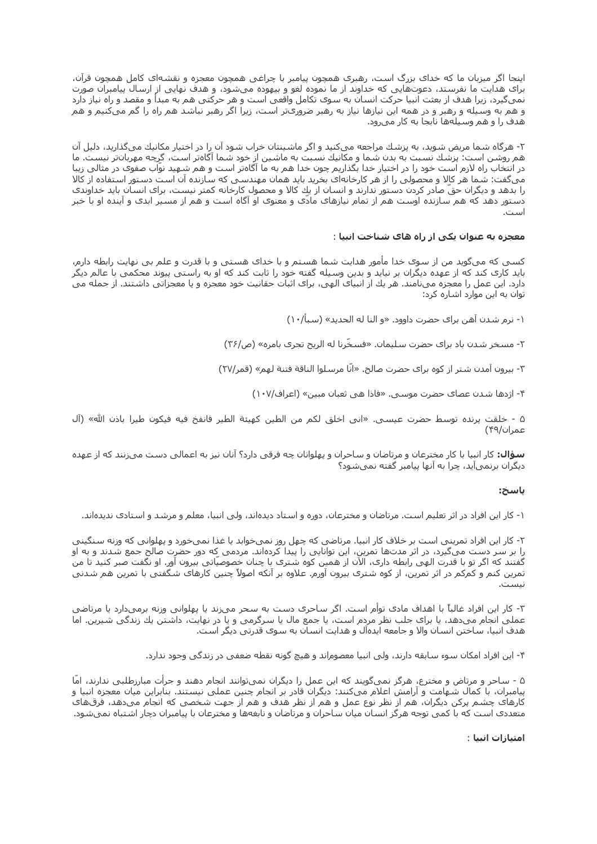اینجا اگر میزبان ما که خداک بزرگ است، رهبری همچون پیامبر با چراغی همچون معجزه و نقشهای کامل همچون قرآن، برای هدایت ما نفرستد، دعوتهایی که خداوند از ما نموده لغو و بیهوده میشود، و هدف نهایی از ارسال پیامبران صورت نمیگیرد، زیرا هدف از بعثت انبیا حرکت انسان به سوک تکامل واقعی است و هر حرکتی هم به مبدأ و مقصد و راه نیاز دارد و هَم بَهَ وسَيله و رهبَر و در همَه ایَن نیازها نیاز به رَهبر ضرورَیّتر اسَت، زیراً اگرَ رهبر نَباشد هم راه را گم میکنیم و هم هدف را و هم وسیلهها نابجا به کار میرود.

۲- هرگاه شما مریض شوید، به پزشك مراجعه میکنید و اگر ماشـینتان خراب شـود آن را در اختیار مکانیك میگذارید، دلیل آن هم روشن است: پزشك نسبت به بدن شما و مكانيك نسبت به ماشين از خود شما آگاهتر است، گرچه مهربانتر نيست. ما در انتخاب راه لازم است خود را در اختیار خدا بگذاریم چون خدا هم به ما آگاهتر است و هم شـهید نوّاب صفوک در مثالی زیبا میگفت: شما هر کالا و محصولی را از هر کارخانهای بخرید باید همان مهندسی که سازنده آن است دستور استفاده از کالا را بدهد و دیگران حقّ صادر کردن دستور ندارند و انسان از یك كالا و محصول كارخانه كمتر نیست، برای انسان باید خداوندی دستور دهد که هم سازنده اوست هم از تمام نیازهای مادی و معنوی او آگاه است و هم از مسیر ابدی و آینده او با خبر است.

#### معجزه به عنوان یکی از راه های شناخت انبیا :

کسـي که ميگويد من از سـوِک خدا مأمور هدايت شـما هسـتم و با خداک هسـتي و با قدرت و عـلم بي نهايت رابطه دارم، باید کارک کند که از عهده دیگران بر نیاید و بدین وسـیله گفته خود را ثابت کند که او به راسـتی پیوند محکمی با عالم دیگر دارد. این عمل را معجزه مینامند. هر یك از انبیای الهی، برای اثبات حقانیت خود معجزه و یا معجزاتی داشتند. از جمله می توان به این موارد اشاره کرد:

۱- نرم شدن آهن برای حضرت داوود. «و النا له الحدید» (سبأ/۱۰)

۲- مسخر شدن باد برای حضرت سلیمان. «فسخّرنا له الریح تجری بامره» (ص/۳۶)

٣- بيرون آمدن شتر از كوه براي حضرت صالح. «انَّا مرسلوا الناقة فتنة لهم» (قمر/٢٧)

۴- اژدها شدن عصای حضرت موسـي. «فاذا هي ثعبان مبين» (اعراف/١٠٧)

۵ - خلقت پرنده توسط حضرت عيسـى. «انى اخلق لكم من الطين كهيئة الطير فانفخ فيه فيكون طيرا باذن الله» (آل عمران/۴۹)

**سؤال:** کار انبیا با کار مخترعان و مرتاضان و ساحران و پهلوانان چه فرقی دارد؟ آنان نیز به اعمالی دست میزنند که از عهده دیگران برنمیآید، چرا به آنها پیامبر گفته نمیشود؟

#### باسخ:

۱- کار این افراد در اثر تعلیم است. مرتاضان و مخترعان، دوره و استاد دیدهاند، ولی انبیا، معلم و مرشد و استادی ندیدهاند.

۲- کار این افراد تمرینی است بر خلاف کار انبیا. مرتاضی که چهل روز نمیخوابد یا غذا نمیخورد و پهلوانی که وزنه سنگینی را بر سـر دسـت میگیرد، در اثر مدتها تمرین، این توانایی را پیدا کردهاند. مردمی که دور حضرت صالح جمع شـدند و به او گُفتند که اگر تو با قدرت الهی رابطه داری، الآن از همین کوه شتری با چنان خصوصیّاتی بیرون آور. او نگفت صبر کنید تا من تمرین کنم و کمکم در اثر تمرین، از کوه شترک بیرون آورم. علاوه بر آنکه اصولاً چنین کارهاک شگفتی با تمرین هم شدنی

٣- كار اين افراد غالباً با اهداف مادي توأم است. اگر ساحري دست به سحر ميزند يا پهلواني وزنه برميدارد يا مرتاضي عملی انجام میدهد، یا برای جلب نظر مردم است، یا جمع مال یا سرگرمی و یا در نهایت، داشتن یك زندگی شیرین. اما هدف انبيا، ساختن انسان والا و جامعه ايدهآل و هدايت انسان به سوې قدرتبي ديگر است.

۴- این افراد امکان سوء سابقه دارند، ولی انبیا معصوماند و هیچ گونه نقطه ضعفی در زندگی وجود ندارد.

۵ - ساحر و مرتاض و مخترع، هرگز نمیگویند که این عمل را دیگران نمیتوانند انجام دهند و جرأت مبارزطلبی ندارند، امّا پیامبران، با کمال شـهامت و آرامش اعلام میکنند: دیگران قادر بر انجام چنین عملی نیستند. بنابراین میان معجزه انبیا و کارهای چشم پرکن دیگران، هم ازِ نظر نوع عمل و هم از نظر هدف و هم از جهت شخصی که انجام میدهد، فرقهای متعددی است که با کمی توجه هرگز انسان میان ساحران و مرتاضان و نابغهها و مخترعان با پیامبران دچار اشتباه نمیشود.

امتيازات انبيا :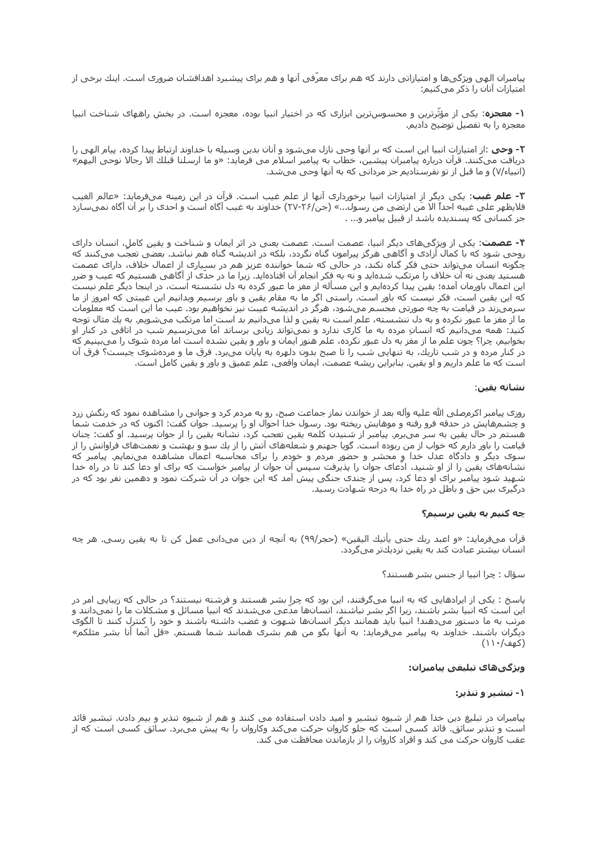پیامبران الهی ویژگیها و امتیازاتی دارند که هم برای معرّفی آنها و هم برای پیشبرد اهدافشان ضروری است. اینك برخی از امتیازات آنان را ذکر میکنیم:

**۱- معجزه**: یکی از مؤثّرترین و محسوسټرین ابزارک که در اختیار انبیا بوده، معجزه است. در بخش راههای شناخت انبیا معجزه را به تفصیل توضیح دادیم.

**٢- وحي :**از امتيازات انبيا اين است كه بر آنها وحي نازل ميشود و آنان بدين وسيله با خداوند ارتباط پيدا كرده، پيام الهي را دریافت میکنند. قرآن درباره پیامبران پیشین، خطاب به پیامبر اسلام می فرماید: «و ما ارسلنا قبلك الا رجالا نوحی الیهم» (انبیاء/۷) و ما قبل از تو نفرستادیم جز مردانی که به آنها وحی میشد.

**۳- علم غیب**: یکی دیگر از امتیازات انبیا برخوردارک آنها از علم غیب است. قرآن در این زمینه میفرماید: «عالم الغیب فلايظهر على غيبه احداً الا مَن ارتضى من رسول...» (جن/٢۶-٢٧) خداوند به غيب آگاه است و احدى را بر آن آگاه نمىسازد جز کسانی که پسندیده باشد از قبیل پیامبر و... .

**۴- عصمت**: یکی از ویژگیهای دیگر انبیا، عصمت است. عصمت یعنی در اثر ایمان و شناخت و یقینِ کامل، انسان دارای روحی شود که با کمال آزادی و آگاهی هرگز پیرامون گناه نگردد، بلکه در اندیشه گناه هم نباشد. بعضی تعجّب میکنند که چگونه انسان میتواند حتی فکر گناه نکند، در حالی که شما خواننده عزیز هم در بسیاری از اعمال خلاف، دارای عصمت هستید یعنی نه آن خلاف را مرتکب شدهاید و نه به فِکر انجام آن افتادهاید. زیرا ما در حدی از آگاهی هستیم که عیب و ضرر این اعمال باورمان آمده؛ یقین پیدا کردهایم و این مسأله از مغز ما عبور کرده به دل نشسته است، در اینجا دیگر علم نیست که این یقین است، فکر نیست که باور است. راستی اگر ما به مقام یقین و باور برسیم وبدانیم این غیبتی که امروز از ما سرمیزند در قیامت به چه صورتی مجسم میشود، هرگز در اندیشه غیبت نیز نخواهیم بود. عیب ما این است که معلومات ما از مغز ما عبور نکرده و به دل ننشسته، علم است نه یقین و لذا میدانیم بد است اما مرتکب میشویم. به یك مثال توجه کنید: همه میدانیم که انسانِ مرده به ما کارِی ندارد و نمیتواند زیانی برساند امّا میترسیم شب در اتاقی در کنار او بخوابیم٬ چرا؟ چون علم ما از مغز به دل عبور نکرده، علم هنوز ایمان و باور و یقین نشده است اما مرده شوک را میبینیم که در کنار مرده و در شب تاریك، به تنهایی شب را تا صبح بدون دلهره به پایان میبرد. فرق ما و مردهشوی چیست؟ فرق آن است که ما علم داریم و او یقین. بنابراین ریشه عصمت، ایمان واقعی، علم عمیق و باور و یقین کامل است.

#### نشانه يقين:

روزی پیامبر اکرمرصلی الله علیه وآله بعد از خواندن نماز جماعت صبح، رو به مردم کرد و جوانی را مشاهده نمود که رنگش زرد و چشـمهایش در حدقه فرو رفته و موهایش ریخته بود. رسـول خدا احوال او را پرسـید. جوان گفت: اکنون که در خدمت شـما هستم در حال یقین به سر میبرم٫ پیامبر از شنیدن کلمه یقین تعجب کرد، نشانه یقین را از جوان پرسید. او گفت: چنان قیامت را باور دارم که خواب از من ربوده است. گویا جهنم و شعلههای آتش را از یك سو و بهشت و نعمتهای فراوانش را از سوې ديگر و دادگاه عدل خدا و محشـر و حضور مردم و خودم را براې محاسـبه اعمال مشـاهده مينمايم. پيامبر که نشانههای یقین را از او شنید، ادّعای جوان را پذیرفت سپس آن جوان از پیامبر خواست که برای او دعا کند تا در راه خدا شـهید شـود پیامبر برای او دعا کرد، پس از چندی جنگی پیش آمد که این جوان در آن شـرکت نمود و دهمین نفر بود که در درگیرک بین حق و باطل در راه خدا به درجه شـهادت رسـید.

#### چه کنیم به یقین برسیم؟

قرآن ميفرمايد: «و اعبد ربك حتى يأتيك اليقين» (حجر/٩٩) به آنچه از دين ميداني عمل كن تا به يقين رسي. هر چه انسان بیشتر عبادت کند به یقین نزدیكتر میگردد.

#### سؤال : چرا انبيا از جنس بشر هستند؟

پاسخ : یکی از ایرادهایی که به انبیا میگرفتند، این بود که چرا بشر هستند و فرشته نیستند؟ در حالی که زیبایی امر در این است که انبیا بشر باشند، زیرا اگر بشر نباشند، انسانها مدّعی میشدند که انبیا مسائل و مشکلات ما را نمیدانند و مرتب به ما دستور میدهند! انبیا باید همانند دیگر انسانها شـهوت و غضب داشـته باشـند و خود را کنترل کنند تا الگوی دیگران باشند. خداوند به پیامبر میفرماید: به آنها بگو من هم بشری همانند شما هستم. «قل انّما أنا بشر مثلکم» (کهف/۱۱۰)

#### ويژگيھاې تبليغي پيامبران:

#### ۱- تبشیر و تنذیر:

پیامبران در تبلیغ دین خدا هم از شیوه تبشیر و امید دادن استفاده می کنند و هم از شیوه تنذیر و بیم دادن. تبشیر قائد است و تنذیر سائق. قائد کسپی است که جلو کاروان حرکت میکند وکاروان را به پیش میبرد. سائق کسپی است که از عقب کاروان حرکت می کند و افراد کاروان را از بازماندن محافظت می کند.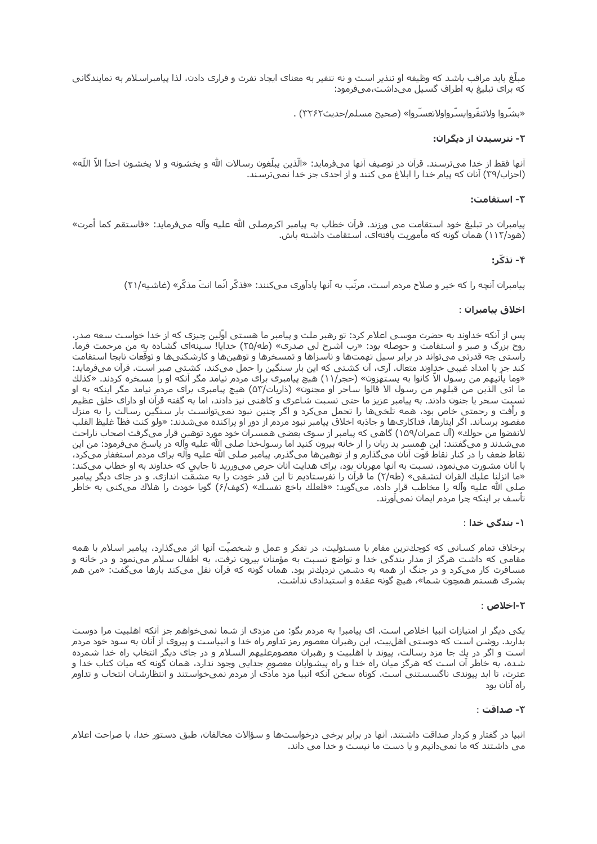مبلّغ باید مراقب باشد که وظیفه او تنذیر است و نه تنفیر به معنای ایجاد نفرت و فراری دادن، لذا پیامبراسلام به نمایندگانی که براک تبلیغ به اطراف گسیل میداشت،میفرمود:

«بشّروا ولاتنفّروايسّرواولاتعسّروا» (صحيح مسـلم/حديث٢٢٢٢) .

## ۲- نترسیدن از دیگران:

آنها فقط از خدا میترسند. قرآن در توصیف آنها میفرماید: «الّذین یبلّغون رسالات الله و یخشونه و لا یخشون احداً الاّ اللّه» (احزاب/٣٩) آنان که پیام خدا را ابلاغ می کنند و از احدک جز خدا نمیترسند.

#### ۳- استقامت:

پیامبران در تبلیغ خود استقامت می ورزند. قرآن خطاب به پیامبر اکرمصلی الله علیه وآله میفرماید: «فاستقم کما اُمرت» (هود/١١٢) همان گونه كه مأموريت يافتهاي، اسـتقامت داشـته باش.

## ۴- تذکّ :

پیامبران آنچه را که خیر و صلاح مردم است، مرتّب به آنها یادآوری میکنند: «فذکّر انّما انتَ مذکّر» (غاشـیه/۲۱)

### اخلاق پيامبران :

پس از آنکه خداوند به حضرت موسـی اعلام کرد: تو رهبر ملت و پیامبر ما هسـتی اوّلین چیزی که از خدا خواسـت سعه صدر، .<br>روح بزرگ و صبر و استقامت و حوصله بود: «رب اشرح لي صدري» (طه/۲۵) خدایا! سـبنهاي گشـاده به من مرحمت فرما. راستی چه قدرتی میتواند در برابر سیل تهمتها و ناسزاها و تمسخرها و توهینها و کارشکنیها و توقّعات نابجا استقامت كُند جزَ با امداد َغيبي خداوند متعال. آرې، آن كشـتي كه اين بار سـنگين را حمل ميكند، كشـتي صبر اسـت. قرآن ميفرمايد: «وما يأتيهم من رسول الاّ كانوا به يستهزون» (حجر/١١) هيچ پيامبري براي مردم نيامد مگر آنكه او را مسخره كردند. «كذلك ما اتي الذين من قبلهم من رسول الا قالوا ساحر أو مجنون» (ذاريات/٥٣) هيچ پيامبري براي مردم نيامد مگر اينكه به او نسبت سحر یا جنون دادند. به پیامبر عزیز ما حتی نسبت شاعرک و کاهنی نیز دادند، اما به گفته قرآن او دارای خلق عظیم و رأفت و رحمتي خاص بود، همه تلخيها را تحمل ميكرد و اگر چنين نبود نميتوانست بار سنگين رسالت را به منزل مقصود برساند. اگر ایثارها، فداکاریها و جاذبه اخلاق پیامبر نبود مردم از دور او پراکنده میشدند: «ولو کنت فظاً غلیظ القلب لانفضوا من حولك» (آل عمران/۱۵۹) گاهي كه پيامبر از سوې بعضي همسـران خود مورد توهين قرار ميگرفت اصحاب ناراحت میشدند و میگفتند: این همسر بد زبان را از خانه بیرون کنید اما رسولخدا صلی الله علیه وآله در پاسخ میفرمود: من این نقاط ضعف را در کنار نقاط قوّت آنان میگذارم و از توهینها میگذرم. پیامبر صلی الله علیه وآله برای مردم استغفار میکرد، با آنان مشورت مینمود، نسبت به آنها مهربان بود، برای هدایت آنان حرص میورزید تا جایی که خداوند به او خطاب میکند: «ما انزلنا عليك القران لتشقي» (طه/٢) ما قرآن را نفرستاديم تا اين قدر خودت را به مشقّت اندازي. و در جاي ديگر پيامبر صلى الله عليه وآله را مخاطب قرار داده، ميگويد: «فَلعلك باخع نفَسكَ» (كَهفَ/ً٤) گويا خودت را هلاك ميكني به خاطر تأسف بر اینکه چرا مردم ایمان نمیآورند.

#### ۱- بندگی خدا :

برخلاف تمام کسانی که کوچكترین مقام یا مسئولیت، در تفکر و عمل و شخصیّت آنها اثر میگذارد، پیامبر اسلام با همه مقامي که داشت هرگز از مدار بندگي خدا و تواضع نسبت به مؤمنان بيرون نرفت، به اطفال سلام مينمود و در خانه و مسافرت کار میکرد و در جنگ از همه به دشمن نزدیكتر بود. همان گونه که قرآن نقل میکند بارها میگفت: «من هم بشرک هستم همچون شما»، هیچ گونه عقده و استبدادک نداشت.

#### ۲-اخلاص :

یکی دیگر از امتیازات انبیا اخلاص است. ای پیامبر! به مردم بگو: من مزدی از شما نمیخواهم جز آنکه اهلبیت مرا دوست بدارید. روشـن اسـت که دوسـتـی اهلıبیت، این رهبران معصوم رمز تداوم راه خدا و انبیاسـت و پیروک از آنان به سـود خود مردم است و اگر در یك جا مزد رسالت، پیوند با اهلبیت و رهبران معصومعلیهم السلام و در جاک دیگر انتخاب راه خدا شمرده شده، به خاطر آن است که هرگز میان راه خدا و راه پیشوایان معصوم جدایی وجود ندارد، همان گونه که میان کتاب خدا و عترت، تا ابد پیوندی ناگسـسـتنی اسـت. کوتاه سـخن آنکه انبیا مزد مادّی از مردم نمیخواسـتند و انتظارشـان انتخاب و تداوم راه آنان بود

#### ٣- صداقت :

انبیا در گفتار و کردار صداقت داشتند. آنها در برابر برخی درخواستها و سؤالات مخالفان، طبق دستور خدا، با صراحت اعلام می داشتند که ما نمیدانیم و یا دست ما نیست و خدا می داند.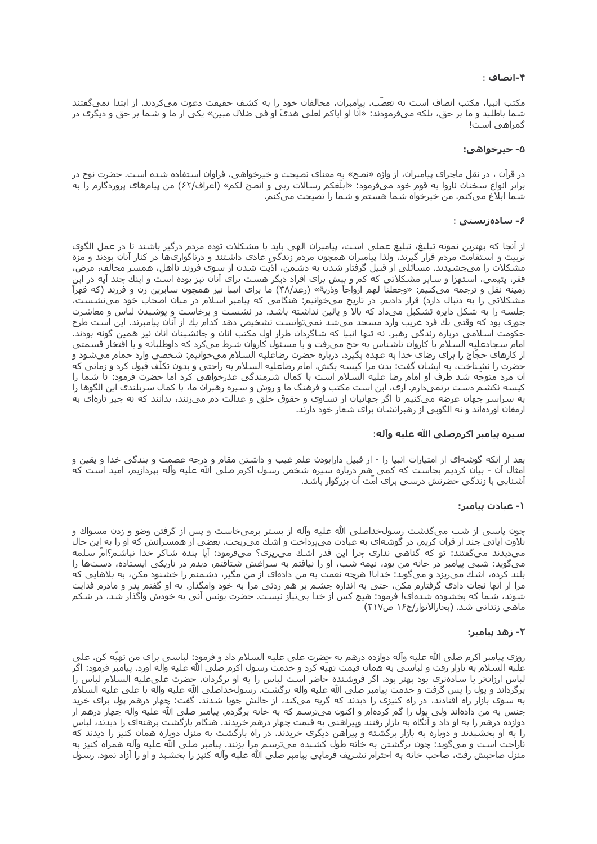## ۴-انصاف :

مکتب انبیا، مکتب انصاف است نه تعصّب. پیامبران، مخالفان خود را به کشف حقیقت دعوت میکردند. از ابتدا نمیگفتند شما باطلید و ما بر حق، بلکه میفرمودند: «انّا او ایاکم لعلی هدیً او فی ضلال مبین» یکی از ما و شما بر حق و دیگری در گمراهبی است!

#### ۵- خېرخواهي:

در قرآن ، در نقل ماجرای پیامبران، از واژه «نصح» به معنای نصیحت و خیرخواهی، فراوان استفاده شده است. حضرت نوح در برابر انواع سخنان ناروا به قوم خود میفرمود: «ابلّغکم رسالات ربی و انصح لکم» (اعراف/۶۲) من پیامهای پروردگارم را به شما ابلاغ میکنم. من خیرخواه شما هستم و شما را نصیحت میکنم.

#### ۶- سادەزىستى :

از آنجا که بهترین نمونه تبلیغ، تبلیغ عملی است، پیامبران الهی باید با مشکلات توده مردم درگیر باشند تا در عمل الگوی تربيت و استقامت مردم قرار گيرند، ولذا پيامبران همچون مردم زندگي عادک داشتند و درناگوارګها در کنار آنان بودند و مزه مشکلات را میچشیدند. مسائلی از قبیل گرفتار شدن به دشمن، اذیّت شدن از سوک فرزند نااهل، همسر مخالف، مرض، فقر، یتیمی، استهزا و سایر مشکلاتی که کم و بیش برای افراد دیگر هست برای آنان نیز بوده است و اینك چند آیه در این زمینه نقل و ترجمه میکنیم: «وجعلنا لهم ازواجاً وذریة» (رعد/۳۸) ما برای انبیا نیز همچون سایرین زن و فرزند (که قهراً مشکلاتی را به دنبال دارد) قرار دادیم. در تاریخ میخوانیم: هنگامی که پیامبر اسلام در میان اصحاب خود می $\zeta$ شست، جلسه را به شکل دایره تشکیل میداد که بالا و پائین نداشته باشد. در نشست و برخاست و پوشیدن لباس و معاشرت جورک بود که وقتی یك فرد غریب وارد مسجد میشد نمیتوانست تشخیص دهد کدام یك از آنان پیامبرند. این است طرح حکومت اسـلامی درباره زندگی رهبر. نه تنها انبیا که شـاگردان طراز اول مکتب آنان و جانشـینان آنان نیز همین گونه بودند. امام سجادعلیه السلام با کاروان ناشناس به حج میرفت و با مسئول کاروان شرط میکرد که داوطلبانه و با افتخار قسمتی از کارهای حجّاج را برای رضای خدا به عهده بگیرد. درباره حضرت رضاعلیه السلام میخوانیم: شخصی وارد حمام میشود و حضرت را نشِناخت، به ایشان گفت: بدن مرا کیسه بکش. امام رضاعلیه السلام به راحتی و بدون تکلّف قبول کرد و زمانی که آن مرد متوجّه شد طرف او امام رضا علیه السلام است با کمال شرمندگی عذرخواهی کرد اما حضرت فرمود: تا شما را کیسه نکشم دست برنمیدارم. آرک، این است مکتب و فرهنگ ما و روش و سیره رهبران ما، با کمال سربلندی این الگوها را به سراسر جهان عرضه میکنیم تا اگر جهانیان از تساوی و حقوق خلق و عدالت دم میزنند، بدانند که نه چیز تازهای به ارمغان آوردهاند و نه الگویی از رهبرانشان برای شعار خود دارند.

#### سيره بيامبر اكرمصلي الله عليه وآله:

بعد از آنکه گوشهای از امتیازات انبیا را - از قبیل دارابودن علم غیب و داشتن مقام و درجه عصمت و بندگی خدا و یقین و امثال آن - بیان کردیم بجاست که کمی هم درباره سیره شخص رسول اکرم صلی الله علیه وآله بپردازیم، امید است که آشنایی با زندگی حضرتش درسی براک امّت آن بزرگوار باشد.

#### ۱- عبادت پیامبر:

چون پاسـی از شـب میگذشـت رسـولخداصلـی الله علیه وآله از بسـتر برمیخاسـت و پس از گرفتن وضو و زدن مسـواك و تلاوت آیاتی چند از قرآن کریم، در گوشهای به عبادت می،پرداخت و اشك می٫یخت. بعضی از همسـرانش که او را به این حال مېديدند مېگفتند: تو که گناهي ندارې چرا اين قدر اشك مېږيزې؟ مېفرمود: آيا بنده شاکر خدا نباشم؟امّ سلمه میگوید: شبی پیامبر در خانه من بود، نیمه شب، او را نیافتم به سراغش شتافتم، دیدم در تاریکی ایستاده، دستها را بلند کرده، اشك مي٫یزد و ميگوید: خدایا! هرچه نعمت به من دادهای از من مگیر، دشمنم را خشنود مکن، به بلاهایی که مرا از آنها نجات دادک گرفتارم مکن، حتی به اندازه چشم بر هم زدنی مرا به خود وامگذار. به او گفتم پدر و مادرم فدایت شوند، شما که بخشوده شدهای! فرمود: هیچ کس از خدا بینیاز نیست. حضرت یونس آنی به خودش واگذار شد، در شکم ماهی زندانی شد. (بحارالانوار/ج۱۶ ص۲۱۷)

#### ٢- زهد بيامبر:

روزې پيامبر اکرم صلي الله عليه وآله دوازده درهم به حضرت علي عليه السلام داد و فرمود: لباسـي براې من تهيه کن. علي عليه السـلام به بازار رفت و لباسـي به همان قيمت تهيه كرد و خدمت رسـول اكرم صلـي الله عليه واله اورد. پيامبر فرمود: اگر لباس ارزانتر یا سادهتری بود بهتر بود. اگر فروشنده حاضر است لباس را به او برگردان. حضرت علیعلیه السلام لباس را برگرداند و پول را پس گرفت و خدمت پيامبر صلي الله عليه وآله برگشت. رسولخداصلي الله عليه وآله با علي عليه السلام به سوی بازار راه افتادند، در راه کنیزی را دیدند که گریه میکند، از حالش جویا شدند. گفت: چهار درهم پول برای خرید جنس به من دادهاند ولي پول را گم کردهام و اکنون ميترسـم که به خانه برگردم. پيامبر صلي الله عليه وآله چهار درهم از دوازده درهم را به او داد و آنگاه به بازار رفتند وپیراهنی به قیمت چهار درهم خریدند. هنگام بازگشت پرهنهای را دیدند، لباس را به او بخشیدند و دوباره به بازار برگشته و پیراهن دیگرک خریدند. در راه بازگشت به منزل دوباره همان کنیز را دیدند که ناراحت است و میگوید: چون برگشتن به خانه طول کشیده میترسم مرا بزنند. پیامبر صلی الله علیه وآله همراه کنیز به منزل صاحبش رفت، صاحب خانه به احترام تشریف فرمایی پیامبر صلی الله علیه وآله کنیز را بخشید و او را آزاد نمود. رسول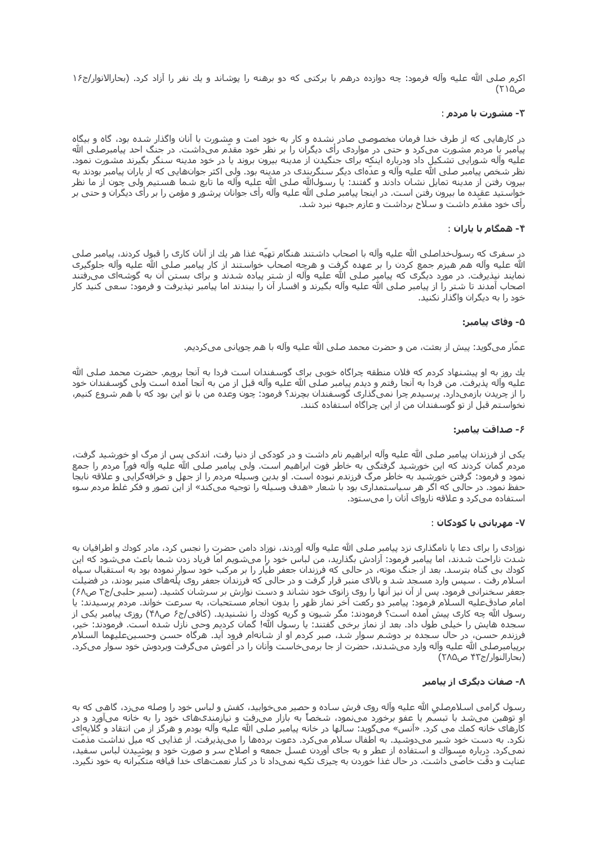اکرم صلی الله علیه وآله فرمود: چه دوازده درهم با برکتی که دو برهنه را پوشاند و یك نفر را آزاد کرد. (بحارالانوار/ج۱۶ ص۱۵(۲۲)

## ۳- مشورت با مردم :

در کارهایی که از طرف خدا فرمان مخصوصی صادر نشده و کار به خود امت و مشورت با آنان واگذار شده بود، گاه و بیگاه پیامبر با مردم مشورت میکرد و حتی در مواردی رأی دیگران را بر نظر خود مقدّم میداشت. در جنگ احد پیامبرصلی الله علیه وآله شورایی تشکیل داد ودرباره اینکه برای جنگیدن از مدینه بیرون بروند یا در خود مدینه سنگر بگیرند مشورت نمود. نظر شخص پیامبر صلي الله علیه وآله و عدَّهاې دیگر سنگربندې در مدینه بود. ولي اکثر جوانهایي که از پاران پیامبر بودند به بيرون رفتن از مدينه تمايل نشان دادند و گفتند: يا رسولاالله صلى الله عليه وآله ما تابع شما هستيم ولي چون از ما نظر خواستید عقیده ما بیرون رفتن است. در اینجا پیامبر صلی الله علیه وآله رأی جوانان پرشور و مؤمن را بر رأی دیگران و حتی بر رأی خود مقدّم داشت و سلاح برداشت و عازم جبهه نبرد شد.

## ۴- همگام با یاران :

در سفرې که رسولخداصلي الله عليه وآله با اصحاب داشتند هنگام تهيّه غذا هر يك از آنان کارې را قبول کردند، پيامبر صلي الله عليه وآله هم هيزم جمع كردن را بر عهده گرفت و هرچه اصحاب خواستند از كار پيامبر صلى الله عليه وآله جلوگيرى نمایند نپذیرفت. در مورد دیگرک که پیامبر صلی الله علیه وآله از شتر پیاده شدند و براک بستن آن به گوشهاک میرفتند اصحاب آمدند تا شـتر را از پیامبر صلی الله علیه وآله بگیرند و افسـار آن را ببندند اما پیامبر نپذیرفت و فرمود: سـعی کنید کار خود را به دیگران واگذار نکنید.

## ۵- وفاې بيامبر:

عمَّار ميگويد: پيش از بعثت، من و حضرت محمد صلحي الله عليه وآله با هم چوپاني ميکرديم.

یك روز به او پیشنهاد كردم كه فلان منطقه چراگاه خوبی برای گوسفندان است فردا به آنجا برویم. حضرت محمد صلی الله عليه وآله پذيرفت. من فردا به آنجا رفتم و ديدم پيامبر صلى الله عليه وآله قبل از من به آنجا آمده است ولى گوسفندان خود را از چریدن بازمیدارد. پرسـیدم چرا نمیگذاری گوسـفندان بچرند؟ فرمود: چون وعده من با تو این بود که با هم شـروع کنیم، نخواسـتم قبل از تو گوسـفندان من از این چراگاه اسـتفاده کنند.

## ۶- صداقت پیامبر:

یکی از فرزندان پیامبر صلی الله علیه وآله ابراهیم نام داشت و در کودکی از دنیا رفت، اندکی پس از مرگ او خورشید گرفت، مردم گمان کردند که این خورشید گرفتگی به خاطر فوت ابراهیم است. ولی پیامبر صلی الله علیه وآله فوراً مردم را جمع نمود و فرمود: گرفتن خورشید به خاطر مرگ فرزندم نبوده است. او بدین وسیله مردم را از جهل و خرافهگرایی و علاقه نابجا حفظ نمود. در حالی که اگر هر سیاستمداری بود با شعار «هدف وسیله را توجیه میکند» از این تصور و فکر غلط مردم سوء استفاده میکرد و علاقه ناروای آنان را میستود.

## ۷- مهرباني با کودکان :

نوزادی را برای دعا یا نامگذاری نزد پیامبر صلی الله علیه وآله آوردند، نوزاد دامن حضرت را نجس کرد، مادر کودك و اطرافیان به شدت ناراحت شدند، اما پیامبر فرمود: آزادش بگذارید، من لباس خود رٍا میشویم اما فریاد زدن شما باعث میشود که این کودك بي گناه بترسد. بعد از جنگ موته، در حالي که فرزندان جعفر طيار را بر مرکب خود سوار نموده بود به استقبال سپاه اسـلام رفت . سپس وارد مسـجد شـد و بالاک منبر قرار گرفت و در حالی که فرزندان جعفر روک پلههاک منبر بودند، در فضيلت جعفر سخنرانی فرمود. پس از آن نیز آنها را روک زانوک خود نشاند و دست نوازش بر سرشان کشید. (سیر حلبی/ج۲ ص۶۸) امام صادقعلیه السلام فرمود: پیامبر دو رکعت آخر نماز ظهر را بدون انجام مستحبات، به سرعت خواند. مردم پرسیدند: یا رسول الله چه کارک پیش آمده است؟ فرمودند: مگر شـیون و گریه کودك را نشـنیدید. (کافی/ج۶ ص۴۸) روزک پیامبر یکی از سجده هایش را خیلی طول داد. بعد از نماز برخی گفتند: یا رسول الله! گمان کردیم وحی نازل شده است. فرمودند: خیر، فرزندم حسن، در حال سجده بر دوشم سوار شد، صبر کردم او از شانهام فروِد آید. هرگاه حسن وحسینعلیهما السلام برپيامبرصلي الله عليه وآله وارد ميشدند، حضرت از جا برميخاست وآنان را در آغوش ميگرفت وبردوش خود سوار ميكرد. (بحارالنوار/ج۴۳ ص۲۸۵)

## ۸- صفات دیگرک از پیامبر

رسول گرامی اسلامرصلی الله علیه وآله روی فرش ساده و حصیر میخوابید، کفش و لباس خود را وصله میږد، گاهی که به او توهین میشد با تبسّم یا عفو برخورد مینمود، شخصاً به بازار میرفت و نیازمندیهای خود را به خانه میآورد و در کارهای خانه کمك مي کرد. «آنس» ميگويد: سالها در خانه پيامبر صلي الله عليه وآله بودم و هرگز از من انتقاد و گلايهاي نکرد. به دست خود شیر میدوشید. به اطفال سلام میکرد. دعوت بردهها را میپذیرفت. از غذایی که میل نداشت مذمّت نمیکرد. درباره مسواك و استفاده از عطر و به جاي آوردن غسل جمعه و اصلاح سر و صورت خود و پوشيدن لباس سفيد، عنایت و دقّت خاصّی داشت. در حال غذا خوردن به چیزک تکیه نمیداد تا در کنار نعمتهاک خدا قیافه متکبّرانه به خود نگیرد.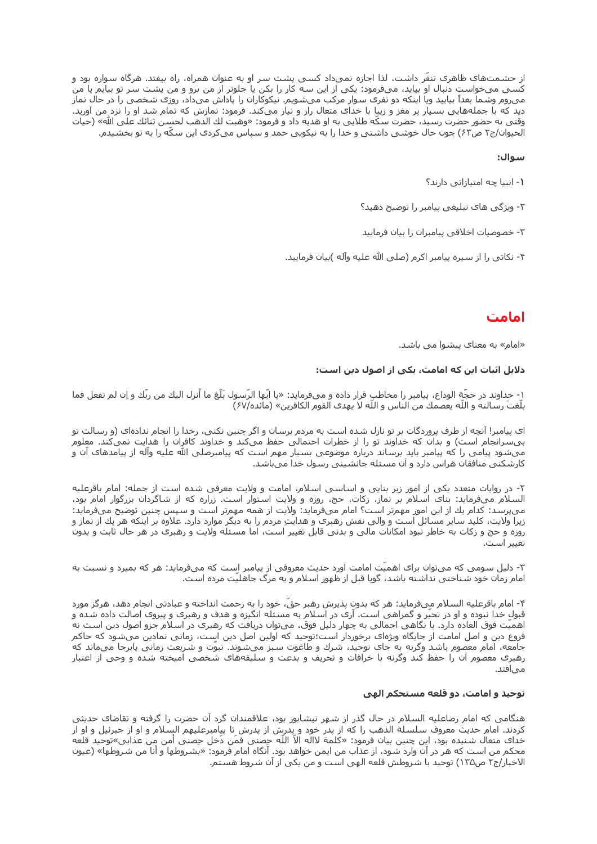از حشـمت۱های ظاهری تنفر داشـت، لذا اجازه نمیداد کسـی پشـت سـر او به عنوان همراه، راه بیفتد. هرگاه سـواره بود و کسـی میخواسـت دنبال او بیاید، میفرمود: یکی از این سـه کار را بکن یا جلوتر از من برو و من پشـت سـر تو بیایم یا من مېږوم وشما بعداً بیایید ویا اینکه دو نفرې سوار مرکب مېشویم. نیکوکاران را پاداش مېداد، روزې شخصي را در حال نماز دید که با جملههایی بسیار پر مغز و زیبا با خداک متعال راز و نیاز میکند. فرمود: نمازش که تُمَام شد او را نزد من آورید. وقتي به حضور حضرت رسـيد، حضرت سـكَّه طلايي به او هديه داد و فرمود: «وهبت لك الذهب لحسـن ثنائك على الله» (حيات الحیوان/ج۲ ص۶۲) چون حال خوشبی داشتبی و خدا را به نیکویبی حمد و سپاس میکردک این سکّه را به تو بخشیدم.

## سوال:

- 1- انبيا چه امتيازاتي دارند؟
- ۲- ویژگی های تبلیغی پیامبر را توضیح دهید؟
- ۳- خصوصیات اخلاقی پیامبران را بیان فرمایید
- ۴- نکاتی را از سپره پیامبر اکرم (صلی الله علیه وآله )بیان فرمایید.

## امامت

«امام» به معناک پیشوا می باشد.

### دلایل اثبات این که امامت، یکی از اصول دین است:

١- خداوند در حجَّة الوداع، پيامبر را مخاطب قرار داده و ميفرمايد: «يا ايِّها الرَّسول بلَّغ ما أنزل اليك من ربّك و اِن لم تفعل فما بلَّغتَ رسالته و اللَّه يعصمك من الناس و اللَّه لا يهدف القوم الكافرين» (مائده/٤٧)

ای پیامبر! آنچه از طرف پروردگات بر تو نازل شده است به مردم برسان و اگر چنین نکنی، رخدا را انجام ندادهای (و رسالت تو بیسرانجام است) و بدان که خداوند تو را از خطرات احتمالی حفظ میکند و خداوند کافران را هدایت نمیکند. معلوم ميشود پيامي را که پيامبر بايد برساند درباره موضوعي بسيار مهم است که پيامبرصلي الله عليه وآله از پيامدهاي آن و کارشکنی منافقان هراس دارد و آن مسئله جانشینی رسول خدا میباشد.

٢- در روایات متعدد یکی از امور زیر بنایی و اساسی اسلام، امامت و ولایت معرفی شده است از جمله: امام باقرعلیه السـلام ميفرمايد: بناي اسـلام بر نماز، زكات، حج، روزه و ولايت اسـتوار اسـت. زراره كه از شـاگردان بزرگوار امام بود، میپرسد: کدام یك از این امور مهمرتر است؟ امام میفرماید: ولایت از همه مهمرتر است و سپس چنین توضیح میفرماید: زیرا ولایت، کلید سایر مسائل است و والی نقش رهبرک و هدایتِ مردم را به دیگر موارد دارد. علاوه بر اینکه هر یك از نماز و روزه و حج و زكات به خاطر نبود امكانات مالي و بدني قابل تغيير است، اما مسئله ولايت و رهبرې در هر حال ثابت و بدون تغيير است.

۳- دلیل سومی که میتوان برای اهمیّت امامت آورد حدیث معروفی از پیامبر است که میفرماید: هر که بمیرد و نسبت به امام زمان خود شناختی نداشته باشد، گویا قبل از ظهور اسلام و به مرگ جاهلیت مرده است.

۴- امام باقرعلیه السلام میفرماید: هر که بدون پذیرش رهبر حق، خود را به زحمت انداخته و عبادتی انجام دهد، هرگز مورد قبول خدا نبوده و او در تحیّر و گمراهی است. آری در اسلام به مسئله انگیزه و هدف و رهبری و پیروی اصالت داده شده و اهمیت فوق العاده دارد. با نگاهی اجمالی به چهار دلیل فوق، میتوان دریافت که رهبری در اسـلام جزو اصول دین اسـت نه فروع دین و اصل امامت از جایگاه ویژهای برخوردار است؛توحید که اولین اصل دین است، زمانی نمادین میشود که حاکم جامعه، امام معصوم باشد وگرنه به جای توحید، شرك و طاغوت سبز میشوند. نبوت و شریعت زمانی پابرجا میماند که رهبری معصوم آن را حفظ کند وگرنه با خرافات و تحریف و بدعت و سلیقههای شخصی آمیخته شده و وحی از اعتبار می افتد.

#### توحید و امامت، دو قلعه مستحکم الهی

هنگامی که امام رضاعلیه السلام در حال گذر از شهر نیشابور بود، علاقمندان گرد آن حضرت را گرفته و تقاضای حدیثی کردند. امام حدیث معروف سلسلة الذهب را که از پدر خود و پدرش از پدرش تا پیامبرعلیهم السلام و او از جبرئیل و او از خداي متعال شنيده بود، اين چنين بيان فرمود: «كَلَمَةُ لاالَه الَّا اللَّهَ حِصَنَيَ فَمَن دَخلَ حِصَنِي أمن من عذابي»توحيد قلعه محكم من است كه هر در آنَ وارد شَود، از عذاب من ايمن خواهد بود. آنگاه امام فَرمود: «بشـروطـها و أنا من شـروطـها» (عيون الإخبار/ج٢ ص١٣۵) توجيد يا شروطش قلعه الهيي است و من يكيي از آن شروط هستم.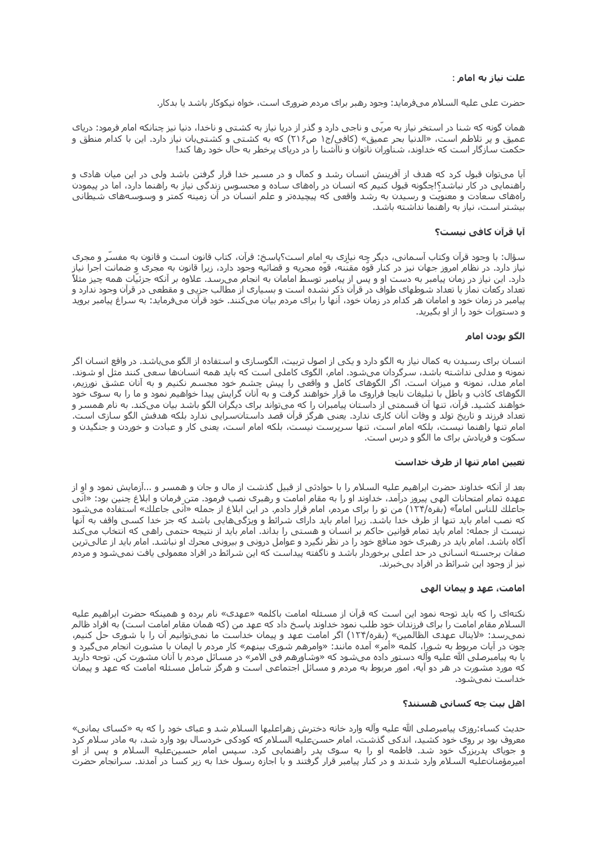#### علت نیاز به امام :

حضرت علی علیه السلام میفرماید: وجود رهبر براک مردم ضرورک است، خواه نیکوکار باشد یا بدکار.

همان گونه که شنا در استخر نیاز به مربّی و ناجی دارد و گذر از دریا نیاز به کشتی و ناخدا، دنیا نیز چنانکه امام فرمود: دریای عمیق و پر تلاطم است، «الدنیا بحر عمیق» (کافی/ج۱ ص۲۱۶) که به کشتی و کشتیبان نیاز دارد. این با کدام منطق و حکمت سازگار است که خداوند، شناوران ناتوان و ناآشنا را در دریای پرخطر به حال خود رها کند!

آیا میتوان قبول کرد که هدف از آفرینش انسان رشد و کمال و در مسیر خدا قرار گرفتن باشد ولی در این میان هادی و راهنمایی در کار نباشد؟!چگونه قبول کنیم که انسان در راههای ساده و محسوس زندگی نیاز به راهنما دارد، اما در پیمودن راههای سعادت و معنویّت و رسیدن به رشد واقعی که پیچیدهتر و علم انسان در آن زمینه کمتر و وسوسههای شیطانی بیشتر است، نیاز به راهنما نداشته باشد.

### آیا قرآن کافی نیست؟

سؤال: با وجود قرآن وكتاب آسـماني، ديگر چه نيازِک به ٍامام اسـت؟پاسـخ: قرآن، كتاب قانون اسـت و قانون به مفسّر و مجرک نیاز دارد. در نظام امروز جهان نیز در کنار قوّه مقنّنه، قوّه مجریه و قضائیه وجود دارد، زیرا قانون به مجرک و ضمانت اجرا نیاز دارد. این نیاز در زمان پیامبر به دست او و پس از پیامبر توسط امامان به انجام میرسد. علاوه بر آنکه جزئیّات همه چیز مثلاً تعداد رکعات نماز یا تعداد شوطهاک طواف در قرآن ذکر نشده است و بسیارک از مطالب جزیی و مقطعی در قرآن وجود ندارد و پیامبر در زمان خود و امامان هر کدام در زمان خود، آنها را براک مردم بیان میکنند. خود قرآن میفرماید: به سراغ پیامبر بروید و دستورات خود را از او بگیرید.

### الگو بودن امام

انسان برای رسیدن به کمال نیاز به الگو دارد و یکی از اصول تربیت، الگوسازی و استفاده از الگو میباشد. در واقع انسان اگر نمونه و مدلی نداشته باشد، سرگردان میشود. امام، الگوی کاملی است که باید همه انسانها سعی کنند مثل او شوند. امام مدل، نمونه و میزان است. اگر الگوهای کامل و واقعی را پیش چشم خود مجسم نکنیم و به آنان عشق نورزیم، الگوهای کاذب و باطل با تبلیغات نابجا فراروی ما قرار خواهند گرفت و به آنان گرایش پیدا خواهیم نمود و ما را به سوی خود خواهند کشـید. قرآن، تنها آن قسـمتی از داسـتان پیامبران را که میتواند برای دیگران الگو باشـد بیان میکند. به نام همسـر و تعداد فرزند و تاریخ تولد و وفات آنان کاری ندارد. یعنی هرگز قرآن قصد داستانسرایی ندارد بلکه هدفش الگو سازی است. امام تنها راهنما نیست، بلکه امام است، تنها سرپرست نیست، بلکه امام است، یعنی کار و عبادت و خوردن و جنگیدن و سکوت و فریادش برای ما الگو و درس است.

#### تعیین امام تنها از طرف خداست

بعد از آنکه خداوند حضرت ابراهیم علیه السـلام را با حوادثی از قبیل گذشت از مال و جان و همسـر و ...آزمایش نمود و او از عهده تمام امتحانات الهي پيروز درآمد، خداوند او را به مقام امامت و رهبرې نصب فرمود. متن فرمان و ابلاغ چنين بود: «انّي جاعلك للناس اماماً» (بقره/۱۲۴) من تو را برا<sup></sup>ی مردم، امام قرار دادم. در این ابلاغ از جمله «انّی جاعلك» استفاده میشود که نصب امام باید تنها از طرف خدا باشد. زیرا امام باید دارای شرائط و ویژگیهایی باشد که جز خدا کسـی واقف به آنها نیست از جمله: امام باید تمام قوانین حاکم بر انسان و هستی را بداند. امام باید از نتیجه حتمی راهی که انتخاب میکند آگاه باشد. امام باید در رهبرک خود منافع خود را در نظر نگیرد و عوامل درونی و بیرونی محرك او نباشد. امام باید از عالیترین صفات برجسته انسانی در حد اعلی برخوردار باشد و ناگفته پیداست که این شرائط در افراد معمولی یافت نمیشود و مردم نیز از وجود این شرائط در افراد بیخبرند.

#### امامت، عهد و پیمان الهی

نکتهای را که باید توجه نمود این است که قرآن از مسئله امامت باکلمه «عهدی» نام برده و همینکه حضرت ابراهیم علیه السـلام مقام امامت را برای فرزندان خود طلب نمود خداوند پاسـخ داد که عـهد من (که همان مقام امامت اسـت) به افراد ظالم نمیرسد: «لاینال عهدی الظالمین» (بقره/۱۲۴) اگر امامت عهد و پیمان خداست ما نمیتوانیم آن را با شوری حل کنیم*،* چون در آیات مربوط به شورا، کلمه «آمر» آمده مانند: «وامرهم شوری بینهم» کار مردم با ایمان با مشورت انجام میگیرد و یا به پیامبرصلی الله علیه وآله دسـتور داده میشـود که «وشـاورهم فی الامر» در مسـائل مردم با آنان مشـورت کن. توجه دارید که مورد مشورت در هر دو آیه، امور مربوط به مردم و مسائل اجتماعی است و هرگز شامل مسئله امامت که عهد و پیمان خداست نمیشود.

#### اهل بیت چه کسانی هستند؟

حدیث کساء:روزی پیامبرصلی الله علیه وآله وارد خانه دخترش زهراعلیها السلام شد و عبای خود را که به «کسای یمانی» معروف بود بر روک خود کشید، اندکی گذشت، امام حسنعلیه السلام که کودکی خردسال بود وارد شد، به مادر سلام کرد و جویای پدربزرگ خود شد. فاطمه او را به سوی پدر راهنمایی کرد. سپس امام حسینعلیه السلام و پس از او امیرمؤمنانعلیه السلام وارد شدند و در کنار پیامبر قرار گرفتند و با اجازه رسول خدا به زیر کساً در آمدند. سرانجام حضرت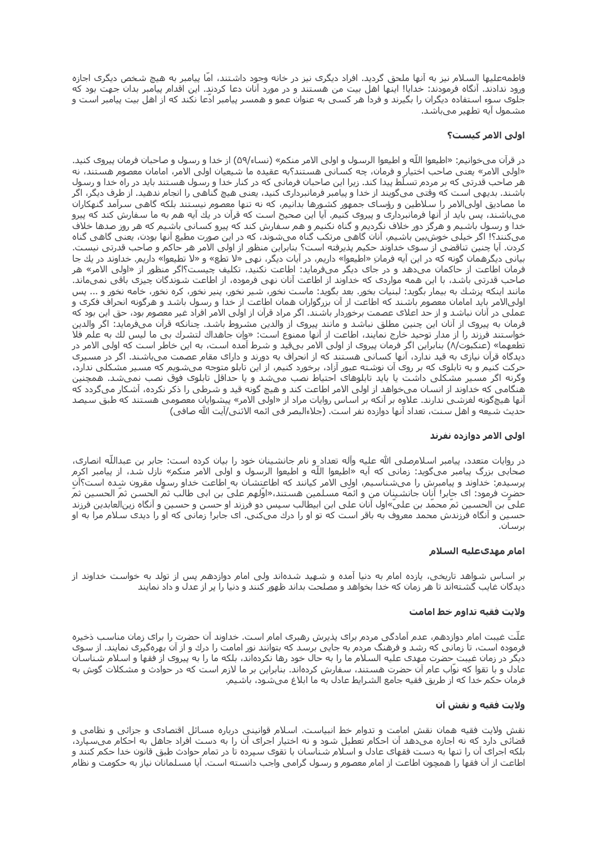فاطمهعلیها السلام نیز به آنها ملحق گردید. افراد دیگرک نیز در خانه وجود داشتند، اما پیامبر به هیچ شخص دیگری اجازه ورود ندادند. آنگاه فرمودند: خدایا! اینها اهل بیت من هستند و در مورد آنان دعا کردند. این اقدام پیامبر بدان جهت بود که جلوک سوء استفاده دیگران را بگیرند و فردا هر کسی به عنوان عمو و همسر پیامبر ادعا نکند که از اهل بیت پیامبر است و مشـمول ایه تطـهیر میباشـد.

## اولی الامر کیست؟

در قرآن میخوانیم: «اطیعوا اللّه و اطیعوا الرسول و اولی الامر منکم» (نساء/۵۹) از خدا و رسول و صاحبان فرمان پیروک کنید. «اولي الامر» يعني صاحب اختيار و فرمان، چه كسـاني هسـتند؟به عقيده ما شـيعيان اولي الامر، امامان معصوم هسـتند، نه هر صاحب قدرتی که بر مردم تسلّط پیدا کند. زیرا این صاحبان فرمانی که در کنار خدا و رسول هستند باید در راه خدا و رسول باشـند. بدیهی اسـت که وقتی میگویند از خدا و پیامبر فرمانبردارک کنید، یعنی هیچ گناهی را انجام ندهید. از طرف دیگر، اگر ما مصادیق اولیالامر را سلاطین و رؤسای جمهور کشورها بدانیم، که نه تنها معصوم نیستند بلکه گاهی سرآمد گنهکاران میباشند، پس باید از آنها فرمانبرداری و پیروی کنیم٫ آیا این صحیح است که قرآن در یك آیه هم به ما سفارش کند که پیرو خدا و رسول باشیم و هرگز دور خلاف نگردیم و گناه نکنیم و هم سفارش کند که پیرو کسانی باشیم که هر روز صدها خلاف میکنند؟! اگر خیلی خوشبین باشیم، آنان گاهی مرتکب گناه میشوند، که در این صورت مطیع آنها بودن، یعنی گاهی گناه کردن. آیا چنین تناقضی از سوک خداوند حکیم پذیرفته است؟ بنابراین منظور از اولی الامر هر حاکم و صاحب قدرتی نیست. بیانی دیگرهمان گونه که در این آیه فرمانِ «اطیعوا» داریم، در آیات دیگر، نهیِ «لا تطع» و «لا تطیعوا» داریم. خداوند در یك جا فرمان اطاعت از حاکمان میدهد و در جای دیگر میفرماید: اطاعت نکنید، تکلیف چیست؟اگر منظور از «اولی الامر» هر صاحب قدرتی باشد، با این همه مواردی که خداوند از اطاعت آنان نهی فرموده، از اطاعت شوندگان چیزی باقی نمیماند. مانند اینکه پزشك به بیمار بگوید: لبنیات بخور. بعد بگوید: ماست نخور، شیر نخور، پنیر نخور، كره نخور، خامه نخور و ... پس اوليالامر بايد امامان معصوم باشند كه اطاعت از آن بزرگواران همان اطاعت از خدا و رسول باشد و هرگونه انحراف فكرى و عملی در آنان نباشد و از حد اعلای عصمت برخوردار باشند. اگر مراد قرآن از اولی الامر افراد غیر معصوم بود، حق این بود که فرمان به پیروک از آنان این چنین مطلق نباشد و مانند پیروک از والدین مشروط باشد. چنانکه قرآن میفرماید: اگر والدین خواستند فرزند را از مدار توحید خارج نمایند، اطاعت از آنها ممنوع است: «واِن جاهداك لتشرك بي ما لیس لك به علم فلا تطعهما» (عنكبوت/٨) بنابراين اگر فرمان پيروک از اولي الامر بيقيد و شرط آمده است، به اين خاطر است كه اولي الامر در دیدگاه قرآن نیازی به قید ندارد، آنها کسانی هستند که از انحراف به دورند و دارای مقام عصمت میباشند. اگر در مسیری حرکت کنیم و به تابلوک که بر روک آن نوشته عبور آزاد، برخورد کنیم، از این تابلو متوجه میشویم که مسیر مشکلی ندارد، وگرنه اگر مسیر مشکلی داشت یا باید تابلوهای احتیاط نصب میشد و یا حداقل تابلوی فوق نصب نمیشد. همچنین هنگامی که خداوند از انسان میخواهد از اولی الامر اطاعت کند و هیچ گونه قید و شرطی را ذکر نکرده، آشکار میگردد که آنها هیچگونه لغزشـی ندارند. علاوه بر آنکه بر اسـاس روایات مراد از «اولی الامر» پیشـوایان معصومـی هسـتند که طبق سـیصد حديث شـيعه و اهل سـنت، تعداد آنها دوازده نفر اسـت. (جلاءالبصر في ائمه الاثني/آيت الله صافي)

#### اولي الامر دوازده نفرند

در روايات متعدد، پيامبر اسـلامصلي الله عليه وآله تعداد ٍو نام جانشـينان خود را بيان كرده اسـت: جابر بن عبداللّه انصارى، صحابي بزرگ پيامبر ميگويد: زماني كه آيه «اطيعوا اللّه و اطيعوا الرسول و اولي الامر منكم» نازل شد، از پيامبر اكرم پرسیدم: خداوند و پیامبرش را میشناسیم، اولی الامر کیانند که اطاعتشان به اطاعت خداو رسول مقرون شده است؟آن حضرت فرمود: ای جابر! آنان جانشـینان من و ائمه مسـلمین هسـتند،«اولهم علـی بن ابـی طالب ثم الحسـن ثم الحسـین ثم عليَّ بن الحسين ثمّ مَحمّد بن عليّ»اول آنان علي ابن ابيطالب سپس در فرزند او حسـن و حسـين و آنگاه رينالعابدين فرزند حسین و آنگاه فرزندش محمد معروف به باقر است که تو او را درك میکنی. اک جابر! زمانی که او را دیدک سلام مرا به او برسان.

#### امام مهدېعليه السلام

بر اسـاس شـواهد تاریخی، یازده امام به دنیا آمده و شـهید شـدهاند ولی امام دوازدهم پس از تولد به خواسـت خداوند از دیدگان غایب گشتهاند تا هر زمان که خدا بخواهد و مصلحت بداند ظهور کنند و دنیا را پر از عدل و داد نمایند

#### ولايت فقيه تداوم خط امامت

علّت غیبت امام دوازدهم، عدم آمادگی مردم برای پذیرش رهبری امام است. خداوند آن حضرت را برای زمان مناسب ذخیره فرموده است، تا زمانی که رشد و فرهنگ مردم به جایی برسد که بتوانند نور امامت را درك و از آن بهرهگیرک نمایند. از سوک دیگر در زمان غیبت ِحضرت مهدک علیه السلام ما را به حال خود رها نکردهاند، بلکه ما را به پیروک از فقها و اسلام شناسان عادلَ و با تقوا که نوّاب عام آن حضرت هستند، سفارش کردهاند. بنابراین بر ما لازم است که درّ حوادث و مشکلات گوش به<br>فرمان حکم خدا که از طریق فقیه جامع الشرایط عادل به ما ابلاغ میشود، باشیم.

#### ولايت فقيه و نقش آن

نقش ولايت فقيه همان نقش امامت و تدوام خط انبياست. اسـلام قوانيني درباره مسـائل اقتصادي و جزائي و نظامي و قضائی دارد که نه اجازه میدهد آن احکام تعطیل شود و نه اختیار اجراک آن را به دست افراد جاهل به احکام میسپارد، بلکه اجرای آن را تنها به دست فقهای عادل و اسلام شناسان با تقوی سپرده تا در تمام حوادث طبق قانون خدا حکم کنند و اطاعت از آن فقها را همچون اطاعت از امام معصوم و رسول گرامی واجب دانسته است. آیا مسلمانان نیاز به حکومت و نظام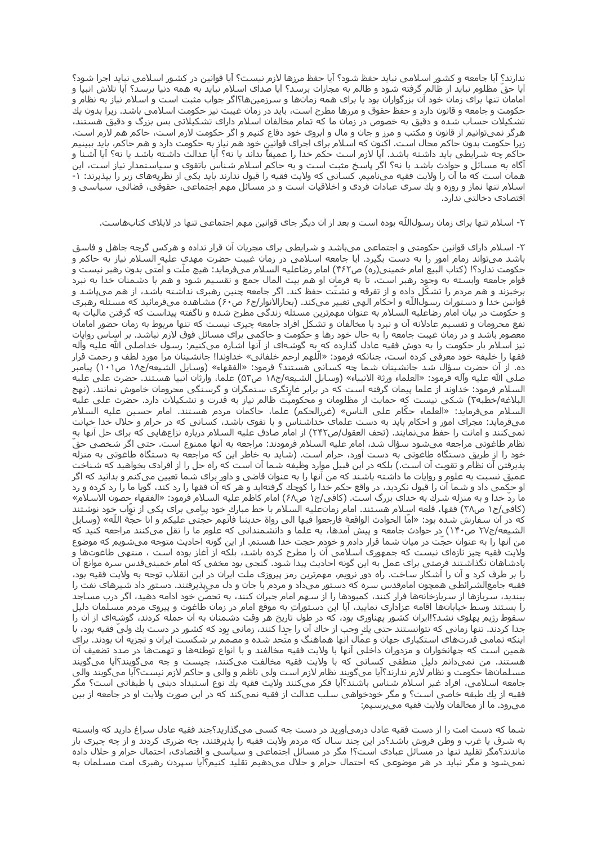ندارند؟ آیا جامعه و کشور اسلامی نباید حفظ شود؟ آیا حفظ مرزها لازم نیست؟ آیا قوانین در کشور اسلامی نباید اجرا شود؟ آيا حق مظلوم نبايد از ظالم گرفته شود و ظالم به مجازات برسد؟ آيا صداى اسـلام نبايد به همه دنيا برسـد؟ آيا تلاش انبيا و امامان تنها برای زمان خود ان بزرگواران بود یا برای همه زمانها و سرزمینها؟اگر جواب مثبت است و اسـلام نیاز به نظام و حکومت و جامعه و قانون دارد و حفظ حقوق و مرزها مطرح است، باید در زمان غیبت نیز حکومت اسلامی باشد. زیرا بدون یك تشکیلات حساب شده و دقیق به خصوص در زمان ما که تمام مخالفان اسلام دارای تشکیلاتی بس بزرگ و دقیق هستند، هرگز نمیتوانیم از قانون و مکتب و مرز و جان و مال و آبروک خود دفاع کنیم و اگر حکومت لازم است، حاکم هم لازم است. زیراً حکومت بدون حاکم محال است. اکنون که اسلام برای اجرای قوانین خود هم نیاز به حکومت دارد و هم حاکم، باید ببینیم حاكم چه شـرايطى بايد داشـته باشـد. آيا لازم اسـت حكم خدا را عميقاً بداند يا نه؟ آيا عدالت داشـته باشـد يا نه؟ آيا آشـنا و آگاه به مسائل و حوادث باشد یا نه؟ اگر پاسخ مثبت است و به حاکمِ اسلام شناس باتقوی و سیاستمدار نیاز است، این همان است که ما آن را ولایت فقیه می∪میم. کسانی که ولایت فقیه را قبول ندارند باید یکی از نظریههای زیر را بپذیرند: ۱-اسـلام تنها نماز و روزه و يك سـرِک عبادات فردک و اخلاقيات اسـت و در مسـائل مهم اجتماعي، حقوقي، قضائي، سـياسـي و اقتصادک دخالتی ندارد.

۲- اسـلام تنها برای زمان رسـول|للّه بوده اسـت و بعد از آن دیگر جای قوانین مهم اجتماعی تنها در لابلای کتابهاست.

۳- اسـلام دارای قوانین حکومتی و اجتماعی میباشد و شرایطی برای مجریان آن قرار نداده و هرکس گرچه جاهل و فاسق باشد میتواند زمام امور را به دست بگیرد. آیا جامعه اسلامی در زمان غیبت حضرت مهدي علیه ٍالسلام نیاز به حاکم و حکومت ندارد؟! (کتاب البیع امام خمینی(ره) ص۴۶۲) امام رضاعلیه السلام میفرماید: هیچ ملّت و امّتی بدون رهبر نیست و قوام جامعه وابسته به وجود رهبر است، تا به فرمان او هم بيت المال جمع و تقسيم شود و هم با دشمنان خدا به نبرد برخیزند و هم مردم را تشکّل داده و از تفرقه و تشتّت حفظ کند. اگر جامعه چنین رهبری نداشته باشد، از هم میپاشد و قوانین خدا و دسـتورات رسـوِلıلله و احکام الهی تغییر میکند. (بحارالانوار/ج۶ ص۶۰) مشـاهده میفرمائید که مسـئله رهبری و حکومت در بیان امام رضاعلیه السـلام به عنوان مهمرترین مسـئله زندگی مطرح شـده و ناگفته پیداسـت که گرفتن مالیات به نفع محرومان و تقسیم عادلانه آن و نبرد با مخالفان و تشکل افراد جامعه چیزی نیست که تنها مربوط به زمان حضور امامان معصوم باشد و در زمان غیبت جامعه را به حال خود رها و حکومت و حاکمی برای مسائل فوق لازم نباشد. بر اساس روایات نیز اسلام بار حکومت را به دوش فقیه عادل گذارده که به گوشهای از آنها اشاره میکنیم: رسول خداصلی الله علیه وآله فقها را خلیفه خود معرفی کرده است، چنانکه فرمود: «الّلهم ارحم خلفائی» خداوندا! جانشینان مرا مورد لطف و رحمت قرار ده. از آن حضرت سؤال شد جانشينان شما چه كساني هستند؟ فرمود: «الفقهاء» (وسايل الشيعه/ج١٨ ص١٠١) پيامبر صلى الله عليه وآله فرمود: «العلماء ورثة الانبياء» (وسايل الشيعه/ج١٨ ص٥٢) علما، وارثان انبيا هسـتند. حضرت على عليه السلام فرمود: خداوند از علما پیمان گرفته است که در برابر غاړتگرک ستمگران و گرسنگی محرومان خاموش نمانند. (نهج البلاغه/خطبه۳) شکی نیست کِه حمایت از مظلومان و محکومیت ظالم نیاز به قدرت و تشکیلات دارد. حضرت علی علیه السـلام ميفرمايد: «العلماء حكَّام علي الناس» (غررالحكم) علما، حاكمان مردم هسـتند. امام حسـين عليه السـلام میفرماید: مجرای امور و احکام باید به دست علمای خداشناس و با تقوی باشد، کسانی که در حرام و حلال خدا خیانت نمیکنند و امانت را حفظ مینمایند. (تحف العقول/ص٢۴٢) از امام صادق علیه السلام درباره نزاعهایی که برای حل آنها به نظام طاغوتي مراجعه ميشود سؤال شد، امام عليه السلام فرمودند: مراجعه به آنها ممنوع است. حتى اگر شخصي حقَّ خود را از طریق دستگاه طاغوتی به دست آورد، حرام است. (شاید به خاطر این که مراجعه به دستگاه طاغوتی به منزله پذیرفتن آن نظام و تقویت آن است.) بلکه در این قبیل موارد وظیفه شما آن است که راه حل را از افرادک بخواهید که شناخت عمیق نسبت به علوم و روایات ما داشته باشند که من آنها را به عنوان قاضی و داور برای شما تعیین میکنم و بدانید که اگر او حکمی داد و شما آن را قبول نکردید، در واقع حکم خدا را کوچك گرفتهاید و هر که آن فقها را رد کند، گویا ما را رد کرده و رد ما ردّ خدا و به منزله شـرك به خداي بزرگ است. (كافي/ج۱ ص۶۸) امام كاظم عليه السـلام فرمود: «الفقهاء حصون الاسـلام» (کافی/ج۱ ص۳۸) فقها، قلعه اسـلام هسـتند. امام زمانعلیه السـلام با خط مبارك خود پیامی براک یکی از نوّاب خود نوشـتند كه در آن سفارش شده بود: «امّا الحوادث الواقعة فارجعوا فيها الي رواة حديثنا فانّهم حجّتي عليكم و انا حجّة اللّه» (وسايل الشیعه/ج۲۷ ص۱۴۰) در حوادث جامعه و پیش آمدها، به علما و دانشمندانی که علوم ما را نقل میکنند مراجعه کنید که من آنها را به عنوان حجّت در میان شما قرار دادم و خودم حجت خدا هستم٫ از این گونه احادیث متوجه میشویم که موضوع ولایت فقیه چیز تازهای نیست که جمهوری اسلامی آن را مطرح کرده باشد، بلکه از آغاز بوده است ، منتهی طاغوتها و پادشاهان نگذاشتند فرصتی برای عمل به این گونه احادیث پیدا شود. گنجی بود مخفی که امام خمینیقدس سره موانع آن را بر طرف کرد و آن را آشکار ساخت. راه دور نرویم، مهمرترین رمز پیروزی ملت ایران در این انقلاب توجه به ولایت فقیه بود، فقیه جامعالشرائطی همچون امامرقدس سره که دستور میداد و مردم با جان و دل میپذیرفتند. دستور داد شیرهای نفت را ببندید، سربازها از سربازخانهها فرار کنند، کمبودها را از سهم امام جبران کنند، به تحصّن خود ادامه دهید، اگر درب مساجد را بستند وسط خيابانها اقامه عزادارې نماييد، آيا اين دستوراتِ به موقع امام در زمان طاغوت و پيروې مردم مسـلمان دليل سقوط رژیم پهلوک نشد؟!ایران کشور پهناورک بود، که در طول تاریخ هر وقت دشمنان به آن حمله کردند، گوشهای از آن را جدا کردند. تنها زمانی که نتوانستند حتی یك وجب از خاك آن را جدا كنند، زمانی بود که کشور در دست یك ولی فقیه بود، با اینکه تمامی قدرتهای استکباری جهان و عمّال آنها هماهنگ و متّحد شده و مصمّم بر شکست ایران و تجزیه آن بودند. برای همین است که جهانخواران و مزدوران داخلی آنها با ولایت فقیه مخالفند و با انواع توطئهها و تهمتها در صدد تضعیف آن هستند. من نمیدانم دلیل منطقی کسانی که با ولایت فقیه مخالفت میکنند، چیست و چه میگویند؟آیا میگویند مسلمانها حکومت و نظام لازم ندارند؟آیا میگویند نظام لازم است ولی ناظم و والی و حاکم لازم نیست؟آیا میگویند والی جامعه اسـلامي، افراد غير اسـلام شـناس باشـند؟آيا فكر ميكنند ولايت فقيه يك نوع اسـتبداد ديني يا طبقاتي اسـت؟ مگر فقیه از یك طبقه خاصی است؟ و مگر خودخواهی سلب عدالت از فقیه نمیكند كه در این صورت ولایت او در جامعه از بین ميرود. ما از مخالفان ولايت فقيه ميپرسيم:

شما که دست امت را از دست فقیه عادل درمیآورید در دست چه کسیی میگذارید؟چند فقیه عادل سراغ دارید که وابسته به شرق یا غرب و وطن فروش باشد؟در این چند سال که مردم ولایت فقیه را پذیرفتند، چه ضررک کردند و از چه چیزی باز ماندند؟مگر تقلید تنها در مسائل عبادک است؟! مگر در مسائل اجتماعی و سیاسی و اقتصادک، احتمال حرام و حلال داده نمیشود و مگر نباید در هر موضوعی که احتمال حرام و حلال میدهیم تقلید کنیم؟آیا سپردن رهبری امت مسلمان به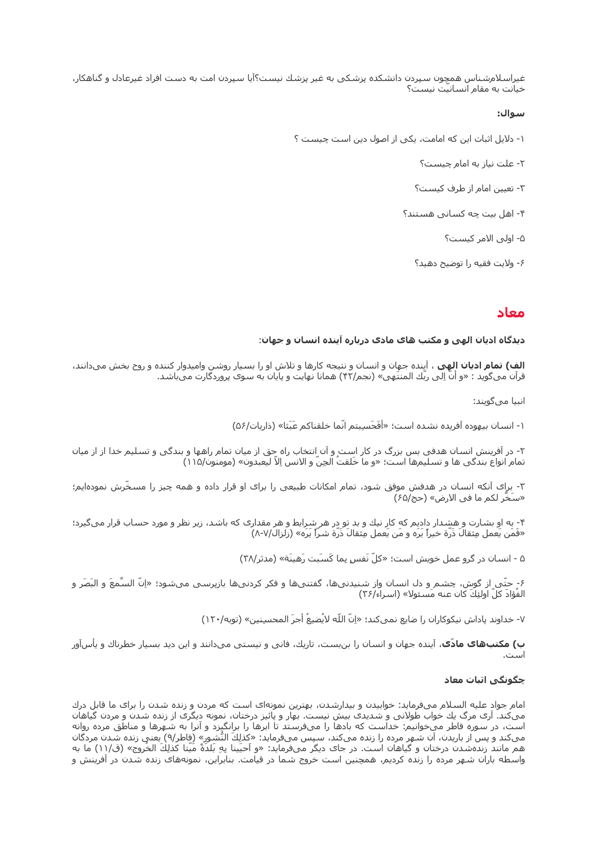غیراسلامشناس همچون سپردن دانشکده پزشکی به غیر پزشك نیست؟آیا سپردن امت به دست افراد غیرعادل و گناهکار، خیانت به مقام انسانیت نیست؟

#### سوال:

- ١- دلایل اثبات این که امامت، یکی از اصول دین است چیست ؟
	- ٢- علت نياز به امام چيست؟
	- ٢- تعيين امام از طرف كيست؟
	- ۴- اهل بیت چه کسانی هستند؟
		- ۵- اولی الامر کیست؟
		- ۶- ولايت فقيه را توضيح دهيد؟

## معاد

### دیدگاه ادیان الهی و مکتب های مادی درباره آینده انسان و جهان:

**الف) تمام ادیان الهی ،** آینده جهان و انسان و نتیجه کارها و تلاش او را بسیار روشن وامیدوار کننده و روح بخش میدانند، قرآن ميگويد : «و أنَّ اِلي ربِّك المنتَهِي» (نجم/۴۲) همانا نهايت و پايان به سوې پروردگارت ميباشـد.

انىيا مى،گويند:

١- انسان بيهوده آفريده نشده است؛ «أَفَحَسِبِتم انَّما خلقناكم عَبَثا» (ذاريات/٥۶)

۲- در آفرینش انسان هدفی بس بزرگ در کار است و آن انتخاب راه حق از میان تمام راهها و بندگی و تسلیم خدا از از میان تمام انواع بندگي ها و تسليمها است؛ «و ما خَلقتُ الحِنّ و الانس اِلاّ ليعبدون» (مومنون/١١۵)

۳- براِک آنکه انسـان در هدفش موفق شـود، تمام امکانات طبیعی را برای او قرار داده و همه چیز را مسـخّرش نمودهایم؛ «سَخَّر لكم ما في الارض» (حج/۶۵)

۴- به او بشارت و هشدار دادیم که کار نیك و بد تو در هر شرایط و هر مقدارک که باشد، زیر نظر و مورد حساب قرار میگیرد؛ «فَمَن يَعمل مِثقالَ ذَرَّة خيراً يَرَه و مَن يَعمل مِثقالَ ذَرَّة شـرّاً يَرَه» (زلزال/٧-٨)

۵ - انسـان در گرو عمل خويش اسـت؛ «کلّ نَفس بما کَسـَبت رَهبنَة» (مدثر/۳۸)

۶- حتّى از گوش، چشـم و دل انسـان واز شـنیدنىها، گفتنىها و فكر كردنىها بازپرسـى مىشـود؛ «اِنّ السَّمعَ و البَصَر و الفُؤادَ كلّ اولئِكَ كان عنه مَسئولا» (اسراء/٣۶)

٧- خداوند پاداش نيكوكاران را ضايع نميكند؛ «اِنّ اللّه لايُضيعُ أجرَ المحسبِنين» (توبه/١٢٠)

**ب) مکتبهای مادّی**، آینده جهان و انسان را بن٫بست، تاریك، فانی و نیستی میدانند و این دید بسیار خطرناك و یأسآور است.

## چگونگی اثبات معاد

امام جواد علیه السلام میفرماید: خوابیدن و بیدارشدن، بهترین نمونهای است که مردن و زنده شدن را برای ما قابل درك میکند. آرک مرگ یك خواب طولانی و شدیدی بیش نیست. بهار و پائیز درختان، نمونه دیگرک از زنده شدن و مردن گیاهان است، در سوره فاطر می خوانیم: خداست که بادها را میفرستد تا ابرها را برانگیزد و آنرا به شـهرها و مناطق مرده روانه<br>میکند و پس از باریدن، آن شـهر مرده را زنده میکند، سـپس میفرماید: «کذلِكَ النُّشـورِ» (فاطر/۹) یعنی زنده شدن م هم مانند زندهشدن درختان و گیاهان است. در جای دیگر میفرماید: «و اَحیَینا بِهِ بَلدَةً مَیّتا کذلِكَ الخُروج» (ق/١١) ما به واسطه باران شهر مرده را زنده کردیم، همچنین است خروج شما در قیامت. بنابراین، نمونههای زنده شدن در آفرینش و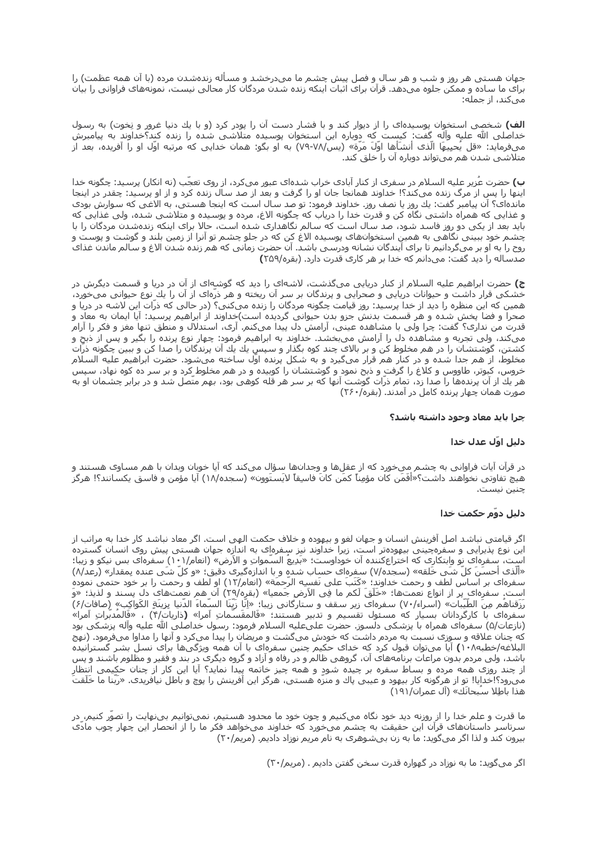جهان هستی هر روز و شب و هر سال و فصل پیش چشم ما میدرخشد و مساله زندهشدن مرده (با آن همه عظمت) را برای ما ساده و ممکن جلوه میدهد. قرآن برای اثبات اینکه زنده شدن مردگان کار محالی نیست، نمونههای فراوانی را بیان میکند، از جمله:

**الف)** شخصی استخوان پوسیدهای را از دیوار کند و با فشار دست آن را پودر کرد (و با یك دنیا غرور و نِخوت) به رسول خداصلی الله علیه وآله گِفت: کیست که دوباره این استخوان پوسیده متلاشی شده را زنده کند؟خداوند به پیامبرش میفرماید: «قل یُحبِیهَا الَّذی أَنشَأَها اوَّلَ مَرَّة» (یس/۷۸-۷۹) به او بگو: همان خدایی که مرتبه اوّل او را آفریده، بعد از متلاشـي شـدن هم ميتواند دوباره آن را خلق کند.

ب) حضرت عُزیر علیه السلام در سفرک از کنار آبادی خراب شدهای عبور میکرد، از روی تعجّب (نه انکار) پرسید: چگونه خدا اینها را پس از مرگ زنده میکند؟! خداوند همانجا جان او را گرفت و بعد از صد سال زنده کرد و از او پرسید: چقدر در اینجا ماندهاي؟ آن پيامبر گفت: پك روز يا نصف روز. خداوند فرمود: تو صد سال است كه اينجا هسـتي، به الاغـي كه سـوارش بودي و غذایی که همراه داشتی نگاه کن و قدرت خدا را دریاب که چگونه الاغ، مرده و پوسیده و متلاشی شده، ولی غذایی که باید بعد از یکی دو روز فاسد شود، صد سال است که سالم نگاهداری شده است، حالا برای اینکه زندهشدن مردگان را با چشمر خود ببینی نگاهی به همین استخوانهای پوسیده الاغ کن که در جلو چشم تو آنرا از زمین بلند و گوشت و پوست و روح را به او بر میگردانیم تا برای آیندگان نشانه ودرسی باشد. آن حضرت زمانی که هم زنده شدن الاغ و سالم ماندن غذای صدساله را دید گفت: میدانم که خدا بر هر کارک قدرت دارد. (بقره/۲۵۹)

**ج)** حضرت ابراهیم علیه السلام از کنار دریایی میگذشت، لاشهای را دید که گوشهای از آن در دریا و قسمت دیگرش در خشکی قرار داشت و حیوانات دریایی و صحرایی و پرندگان بر سر آن ریخته و هر ذرهای از آن را یك نوع حیوانی میخورد، همین که این منظره را دید از خدا پرسید: روز قیامت چگونه مردگان را زنده میکنی؟ (در حالی که ذرّات این لاشه در دریا و صحرا و فضا پخش شده و هر قسمت بدنش جزو بدن حیوانی گردیده است)خداوند از ابراهیم پرسید: آیا ایمان به معاد و قدرت من ندارَی؟ گفت: چرا ولی با مشـاهده عینی، آرامش دل پیدا میکنم. آری، اسـتدلال و منطق تنها مغز و فکر را آرام میَکند، ولی تجربه و مشاهده دل را آرامش می بخشد. خداوند به ابراهیم فرمود: چهار نوع پرنده را بگیر و پس از ذبح و کشتن، گوشتشان را در هم مخلوط کن و بر بالای چند کوه بگذار و سپس یك یك آن پرندگان را صدا کن و ببین چگونه ذرّات مخلوط، از هم جدا شده و در کنار هم قرار میگیرد و به شکل پرنده اوّل ساخته میشود. حضرت ابراهیم علیه السلام خروس، کبوتر، طاووس و کلاغ را گرفت و ذبح نمود و گوشتشان را کوبیده و در هم مخلوط کرد و بر سـر ده کوه نهاد، سـپس هر یَكَ از آنَ پَرندهها را صدا زد، تمام ذرّات گوشت آنها كه بر سر هر قله كوهی بود، بهم متّصل شد و در برابر چشمان او به صورت همان چهار پرنده کامل در آمدند. (بقره/۲۶۰)

#### چرا باید معاد وجود داشته باشد؟

## دليل اوّل عدل خدا

در قرآن آیات فراوانی به چشم میخورد که از عقلها و وجدانها سؤال میکند که آیا خوبان وبدان با هم مساوک هستند و هيچ تفاوتي نخواهند داشت؟«أَفَمَن كان مؤمِناً كمَن كانَ فاسِقاً لايَستَوون» (سجده/١٨) آيا مؤمن و فاسق يكسانند؟! هرگز چنین نیست.

#### دليل دوّم حكمت خدا

اگر قیامتی نباشد اصل آفرینش انسان و جهان لغو و بیهوده و خلاف حکمت الهی است. اگر معاد نباشد کار خدا به مراتب از این نوع پذیرایی و سفرهچینی بیهودهتر است، زیرا خداوند نیز سفرهای به اندازه جهان هستی پیش روی انسان گسترده است، سفرهای نِو وابتکاری که اختراعکننده آن خوداوست؛ «بَدِیعَ السّمواتِ و الاَرض» (انعام/١٠١) سفرهای بس نیکو و زیبا؛ «آلذی أحسَنَ کلّ شَی خَلقه» (سجده/۷) سفرهای حساب شده و با اندازهگیری دقیق؛ «و کلّ شَی عنده بِمقدار» (رعد/۸) سفرهای بر اساس لطف و رحمت خداوند؛ «کَتَبَ علی نَفسِه الرَحمَة» (انعام/١٢) او لطف و رحمت را بر خود حتمی نموده است. سفرهاي پر از انواع نعمتها؛ «خَلَقَ لَكم ما فِي الأرضِ جَمعيا» (بقره/٢٩) آن هم نعمتهاى دل پسند و لذيذ؛ «وَ رَزَقناهَم مِنَ الطَّيَبات» (اسراء/٧٠/) سفرهاى زير سقف و ستارگانى زيبا؛ «إِنَا زَيِّنَا السَماءَ الدَنيا بِزينَةٍ الكَواكِب» (صافات/۶) سفرهاي با كارگردانان بسيار كه مسئول تقسيم و تدبير هستند؛ «فالمقسماتِ امرا» (ذاريات/۴) ، «فالمدبراتِ امرا» (نازعات/۵) سفرهای همراه با پزشکی دلسوز. حضرت علیعلیه السلام فرمود: رسول خداصلی الله علیه وآله پزشکی بود که چنان علاقه و سوزی نسبت به مردم داشت که خودش میگشت و مریضان را پیدا میکرد و آنها را مداوا میفرمود. (نهج البلاغه/خطبه٨٠٨) آيا ميتوان قبول كرد كه خداي حكيم چنين سفرهاي با آن همه ويژگيها براي نسل بشر گسترانيده باشد، ولی مردم بدون مراعات برنامههای آن، گروهی ظالم و در رفاه و آزاد و گروه دیگری در بند و فقیر و مظلوم باشند و پس از چند روزی همه مرده و بساط سفره بر چیده شود و هَمه چیز خاتمه پیداً نماید؟ آیا این کار از چنان حکیمی انتظار<br>می٫ود؟!خدایا! تو از هرگونه کار بیهود و عیبی پاك و منزّه هستی، هرگز این آفرینش را پوچ و باطل نیافریدی. «رَبّنا ما هذا باطِلا سَبِحانَك» (آل عمران/١٩١)

ما قدرت و علم خدا را از روزنه دید خود نگاه میکنیم و چون خود ما محدود هستیم، نمیتوانیم بینهایت را تصور کنیم، در سرتاسر داستانهای قرآن این حقیقت به چشم میخورد که خداوند میخواهد فکر ما را از انحصار این چهار چوب مادی بیرون کند و لذا اگر میگوید: ما به زن بیشوهری به نام مریم نوزاد دادیم. (مریم/۲۰)

اگر مېگويد: ما به نوزاد در گهواره قدرت سخن گفتن داديم . (مريم/۳۰)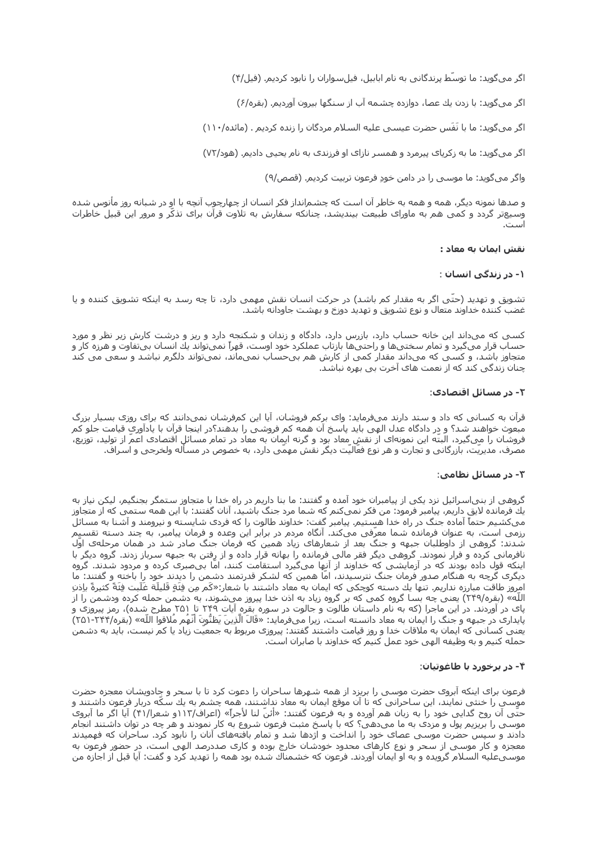اگر میگوید: ما توسّط پرندگانی به نام ابابیل، فیلسواران را نابود کردیم. (فیل/۴)

اگر میگوید: با زدن یك عصا، دوازده چشـمه آب از سـنگها بیرون آوردیم. (بقره/۶)

اگر میگوید: ما با نَفَس حضرت عیسبی علیه السلام مردگان را زنده کردیم . (مائده/۱۱۰)

اگر میگوید: ما به زکریای پیرمرد و همسر نازای او فرزندی به نام یحیی دادیم. (هود/۷۲)

واگر میگوید: ما موسـی را در دامن خودِ فرعون تربیت کردیم. (قصص/۹)

و صدها نمونه دیگر، همه و همه به خاطر آن است که چشـمرانداز فکر انسـان از چـهارچوب آنچه با او در شـبانه روز مأنوس شـده وسیعتر گردد و کمی هم به ماورای طبیعت بیندیشد، چنانکه سفارش به تلاوت قرآن برای تذکّر و مرور این قبیل خاطرات است.

#### نقش ایمان به معاد :

#### ۱- در زندگی انسان :

تشویق و تهدید (حتّی اگر به مقدار کم باشد) در حرکت انسان نقش مهمی دارد، تا چه رسد به اینکه تشویق کننده و یا غضب کننده خداوند متعال و نوع تشویق و تهدید دوزخ و بهشت جاودانه باشد.

کسـی که میداند این خانه حساب دارد، بازرس دارد، دادگاه و زندان و شـکنجه دارد و ریز و درشت کارش زیر نظر و مورد حساب قرار مېگېرد و تمام سختېها و راحتېها بازتاب عملکرد خود اوست، قهراً نمېتواند بك انسان بېتفاوت و هرزه كار و متجاوز باشد، و کسبی که میداند مقدار کمی از کارش هم بیحساب نمیماند، نمیتواند دلگرم نباشد و سعی می کند چنان زندگی کند که از نعمت های آخرت بی بهره نباشد.

#### ۲- در مسائل اقتصادک:

قرآن به کسانی که داد و ستد دارند میفرماید: وای برکم فروشان، آیا این کمفرشان نمیدانند که برای روزی بسیار بزرگ مبعوث خواهند شد؟ و در دادگاه عدل الهي بايد پاسخ آن همه كم فروشي را بدهند؟در اينجا قرآن با يادآوري قيامت جلو كم فروشان را میگیرد، البتّه این نمونهای از نقش معاد بود و گرنه ایمان به معاد در تمام مسائل اقتصادی اعمَ از تولید، توزیع، مصرف، مدیریّت، بازرگانی و تجارت و هر نوع فعّالیّت دیگر نقش مهمّی دارد، به خصوص در مسأله ولخرجی و اسـراف.

## ۳- در مسائل نظامی:

گروهی از بنیاسرائیل نزد یکی از پیامبران خود آمده و گفتند: ما بنا داریم در راه خدا با متجاوز ستمگر بجنگیم، لیکن نیاز به یك فرمانده لایق داریم٬ پیامبر فرمود: من فكر نمیكنم كه شـما مرد جنگ باشـید٬ آنان گفتند: با این همه سـتمی كه از متجاوز میکشیم حتماً آماده جنگ در راه خدا هستیم. پیامبر گفت: خداوند طالوت را که فردی شایسته و نیرومند و آشنا به مسائل<br>رزمی است، به عنوان فرمانده شما معرّفی میکند. آنگاه مردم در برابر این وعده و فرمان پیامبر، به چند دسته تقسیم شَّدند: گروهی از داوطلبان جبهه و جنگَ بعد از شعارهای زیاد همین که فرمان جنگ صادر شد در همان مرحلهی اوَّلُ نافرمانی کرده و فرار نمودند. گروهی دیگر فقر مالی فرمانده را بهانه قرار داده و از رفتن به جبهه سرباز زدند. گروه دیگر با اینکه قول داده بودند که در آزمایشـی که خداوند از آنها میگیرد اسـتقامت کنند، امّا بیصبرک کرده و مردود شـدند. گروه دیگرک گرچه به هنگام صدور فرمان جنگ نترسیدند، امّا همین که لشکر قدرتمند دشمن را دیدند خود را باخته و گفتند: ما امروز طاقت مبارزه نداريم. تنها بك دسته كوچكي كه ايمان به معاد داشتند با شعار:«كَم من فنَةِ قَليلَة غَلَبت فنَةً كثيرةً باذن اللّه» (بقره/٢۴۹) یعنی چه بسا گروه کمی که بر گروه زیاد به اذن خدا پیروز میشوند، به دشمن حمله کرده ودشمن را از پای در آوردند. در این ماجرا (که به نام داستان طالوت و جالوت در سوره بقره آیات ۲۴۹ تا ۲۵۱ مطرح شده)، رمز پیروزی و پایداری در جبهه و جنگ را ایمان به معاد دانسته است، زیرا میفرماید: «قَالَ الَّذِینَ یَظنُّونَ أَنَّهُم مُلاقوا اللّه» (بقره/۲۴۴-۲۵۱) یعنی کسانی که ایمان به ملاقات خدا و روز قیامت داشتند گفتند: پیروزی مربوط به جمعیّت زیاد یا کم نیست، باید به دشمن حمله کنیم و به وظیفه الهی خود عمل کنیم که خداوند با صابران است.

## ۴- در برخورد با طاغوتیان:

فرعون برای اینکه آبروی حضرت موسـی را بریزد از همه شـهرها سـاحران را دعوت کرد تا با سـحر و جادویشـان معجزه حضرت موسـی را خنثی نمایند، این سـاحرانی که تا آن موقع ایمان به معاد نداشـتند، همه چشـم به یك سـکّه دربار فرعون داشـتند و<br>حتّی آن روح گدایی خود را به زبان هم آورده و به فرعون گفتند: «أئنّ لنا لأجراً» (اعراف/۱۱۲و شعرا/۴۱) آیا اگ موسـی را بریزیم پول و مزدک به ما می۱هی؟ که با پاسـخ مثبت فرعون شـروع به کار ِنمودند و هر چه در توان داشـتند انجام دادند و سَپَسٌ حَضَرتٌ موسَىٰ عصاى خود را انداخت و اژدها شد و تمام باقتههاى آنان را نابود كرد. ساحران كه فهميدند معجزه و کار موسـی از سـحر و نوع کارهای محدود خودشـان خارج بوده و کاری صددرصد الهی اسـت، در حضور فرعون به موسـيعليه السـلام گرويده و به او ايمان آوردند. فرعون كه خشـمناك شـده بود همه را تهديد كرد و گفت: آيا قبل از اجازه من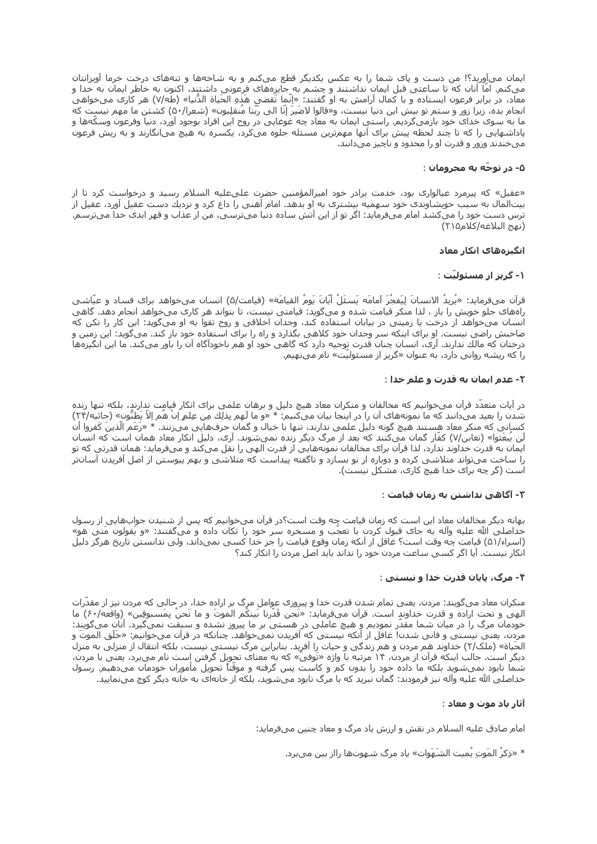ایمان میآورید؟! من دست و پاک شما را به عکس یکدیگر قطع میکنم و به شاخهها و تنههای درخت خرما آویزانتان میکنم. اما آنان که تا ساعتی قبل ایمان نداشتند و چشم به جایزههای فرعونی داشتند، اکنون به خاطر ایمان به خدا و معاد، در برابر فرعون ایستاده و با کمال آرامش به او گفتند: «اِنّما تَقضي هَذهِ الحَياة الدُّنيا» (طه/۷) هر کارک میخواهی انجام بده، زیراً زور و ستم تو بیش این دنیا نیست، و«قالوا لاضَیرَ إنّا الی رَبّنا مُنقلِبون» (شعرا/۵۰) کشتن ما مهم نیست که ما به سوک خداک خود بازمیگردیم. راستی ایمان به معاد چه غوغایی در روح این افراد بوجود آورد، دنیا وفرعون وسکّهها و پاداشـهایی را که تا چند لحظه پیش برای آنها مهمِترین مسئله جلوه میکرد، یکسـره به هیچ میانگارند و به ریش فرعون میخندند وزور و قدرت او را محدود و ناچیز میدانند.

## ۵- در توجّه به محرومان :

«عقیل» که پیرمرد عیالواری بود، خدمت برادر خود امیرالمؤمنین حضرت علیعلیه السلام رسید و درخواست کرد تا از بيتالمال به سبب خويشاوندې خود سـهميه بيشترې به او بدهد. امام آهنې را داغ کرد و نزديك دست عقيل آورد، عقيل از ترس دست خود را میکشد امام میفرماید: اگر تو از این آتش ساده دنیا میترسـی، من از عذاب و قهر ابدک خدا میترسـم. (نهج البلاغه/كلام۱۵)

## انگیزههای انکار معاد

## ۱- گریز از مسئولیّت :

قرآن ميفرمايد: «يُرِيدُ الانسانَ لِيَفجُرَ اَمامَه يَسئَلُ أَيَّانَ يَومُ القيامَة» (قيامت/۵) انسان ميخواهد براي فساد و عيَّاشي راههای جلو خویش را باز ، لذا منکر قیامت شده و میگوید: قیامتی نیست، تا بتواند هر کاری میخواهد انجام دهد. گاهی انسان میخواهد از درخت یا زمینی در بیابان استفاده کند، وجدان اخلاقی و روح تقوا به او میگوید: این کار را نکن که صاحبش راضی نیست. او برای اینکه سر وجدان خود کلاهی بگذارد و راه را برای استفاده خود باز کند. میگوید: این زمین و درختان که مالك ندارند. آرې، انسان چنان قدرت توجيه دارد که گاهي خود او هم ناخودآگاه آن را باور ميکند. ما اين انگيزهها را که ریشه روانی دارد، به عنوان «گریز از مسئولیّت» نام میںهیم.

## ٢- عدم ايمان به قدرت و علم خدا :

در آیات متعدّد قرآن میخوانیم که مخالفان و منکران معاد هیچ دلیل و برهان علمی براک انکار قیامت ندارند، بلکه تنها زنده شدن را بعید میدانند که ما نمونههای آن را در اینجا بیان میکنیم: \* «و ما لَهم بِذلِك مِن عِلمِ اِنْ هَم اِلاَ يَظنَّون» (جاثیه/۲۴) کساني که منکر معاد هستند هيچ گونه دليل علمي ندارند، تنها با خيال و گمان حرفهايي ميزنند. \* «زَعَم الّذينَ كَفروا أن لَن يُبعَثوا» (تغابن/۷) کفّار گمان ميکنند که بعد از مرگ ديگر زنده نميشـوند. آرې، دليل انکار معاد همان اسـت که انسـان ایمان به قدرت خداوند ندارد، لذا قرآن برای مخالفان نمونههایی از قدرت الهی را نقل میکند و میفرماید: همان قدرتی که تو را ساخت میتواند متلاشی کرده و دوباره از نو بسازد و ناگفته پیداست که متلاشی و بهم پیوستن از اصل آفریدن آسانتر است (گر چه برای خدا هیچ کاری، مشکل نیست).

## ۳- آگاهی نداشتن به زمان قیامت :

بهانه دیگر مخالفان معاد این است که زمان قیامت چه وقت است؟در قرآن میخوانیم که پس از شنیدن جوابهایی از رسول خداصلی الله علیه وآله به جای قبول کردن با تعجّب و مسخره سـر خود را تکان داده و میگفتند: «و یَقولون مَتی هو» (اسراء/۵۱) قیامت چه وقت است؟ غافل از آنکه زمان وقوع قیامت را جز خدا کسـی نمیداند، ولی ندانسـتن تاریخ هرگز دلیل انکار نیست. آیا اگر کسپی ساعت مردن خود را نداند باید اصل مردن را انکار کند؟

## ۴- مرگ، پایان قدرت خدا و نیستی :

منکران معاد میگویند: مردن، یعنی تمام شدن قدرت خدا و پیروزی عوامل مرگ بر اراده خدا، در حالی که مردن نیز از مقدّرات الهی و تحت اراده و قدرت خداوند است. قرآن میفرماید: «نَحن قَدَرنا بَینکَم الموتَ و ما نَحنَ بِمَسبوقِین» (واقعه/۶۰) ما خودمان مرگ را در میان شما مقدّر نمودیم و هیچ عاملی در هستی بر ما پیروز نشده و سبقت نمیگیرد. آنان میگویند: مردن، یعنی نیستی و فانی شدن! غافل از آنکه نیستی که آفریدن نمیخواهد. چنانکه در قرآن میخوانیم: «خَلَق الموتَ و الحَیاة» (ملک/۲) خداوند هم مردن و هم زندگی و حیات را آفرید. بنابراین مرگ نیسـتی نیسـت، بلکه انتقال از منزلی به منزل دیگر است. جالب اینکه قرآن از مردن، ۱۴ مرتبه با واژه «تَوفیَ» که به معنای تحویل گرفتن است نام می،برد، یعنی با مردن، شـماً نابود نمـیشـوید بلـکه ما داده خود را بدون کمّر و کاسَـت پس گرفته و موقّتاً تَحویل مأموران خودمان میدهیم. رسول خداصلي الله عليه وَآله نيز فرمودند: گمان نبريد که با مرگ نابود مي شويد، بلکه از خانهاي به خانه ديگر کوچ مي نماييد.

## آثار یاد موت و معاد :

امام صادق علیه السلام در نقش و ارزش یاد مرگ و معاد چنین میفرماید:

\* «ذِكِرُ المَوتِ يُميت الشَـهَوات» ياد مرگ شـهوتها رااز بين ميبرد.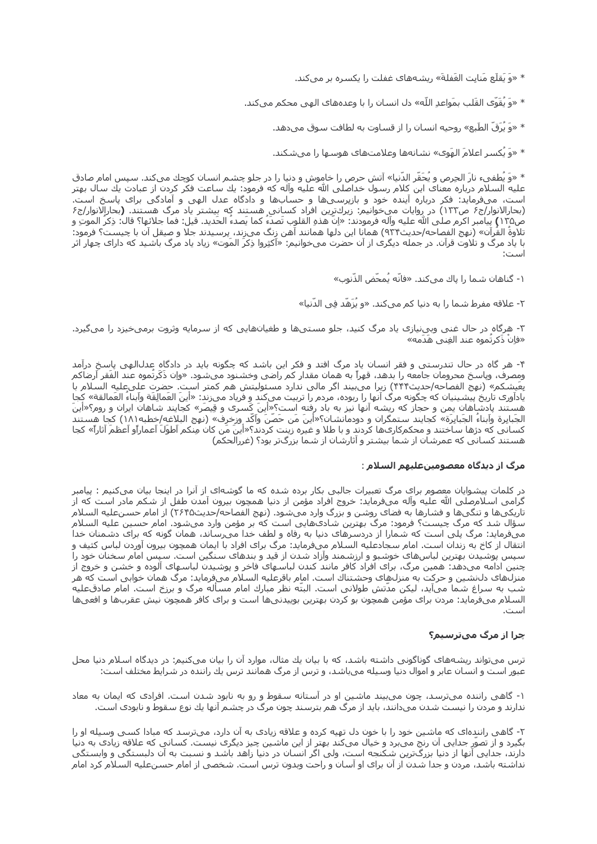\* «وَ يَقلَع مَنابِت الغَفلةَ» ريشـههاي غفلت را يكسـره بر ميكند.

\* «وَ يُقَوَّى القَلب بمَواعدِ اللَّه» دل انسـان را با وعدههاى الهي محكم ميكند.

\* «وَ يُرَقّ الطَبع» روحيه انسـان را از قسـاوت به لطافت سـوق ميدهد.

\* «وَ يَكسـر اعلامَ المَوِي» نشـانهها وعلامتهاي هوسـها را ميشـكند.

\* «وَ يُطفىء نارَ الحِرص و يُحَقّر الدّنيا» آتش حرص را خاموش و دنيا را در جلو چشـم انسـان كوچك مىكند. سـپس امام صادق عليه السـلام درباره معناک اين کلام رسـول خداصلی الله عليه وآله که فرمود: يك سـاعت فکر کردن از عبادت يك سـال بهتر است، میفرماید: فکر درباره آینده خود و بازپرسیها و حسابها و دادگاه عدل الهی و آمادگی برای پاسخ است. (بحارالانوار/ج۶ ص۱۳۳) در روایات میخوانیم: زیركترِین افراد كسانی هستند كه بیشتر یاد مرگ هستند. (بحارالانوار/ج۶ ص١٣٥) پيامبر اكرم صلى الله عليه واله فرمودند: «إن هذهِ القلوب تصدء كما يصدء الحديد. قيل: فما جلائها؟ قال: ذِكر الموتِ و تلاوة القران» (نهج الفصاحه/حديث٩٣۴) همانا اين دلها همانند اهن زنگ میزند، پرسيدند جلا و صيقل ان با چيست؟ فرمود: با یاد مرگ و تلاوت قرآن. در جمله دیگرک از آن حضرت میخوانیم: «اَکثِروا ذِکرَ المَوت» زیاد یاد مرگ باشـید که دارای چهار اثر

١- گناهان شما را ياك ميكند. «فانّه يُمحّض الذّنوب»

٢- علاقه مفرط شما را به دنيا كم ميكند. «و يُزَهّد في الدّنيا»

۳- هرگاه در حال غنی وبینیازی یاد مرگ کنید، جلو مستیها و طغیانهایی که از سرمایه وثروت برمیخیزد را میگیرد. «فإنْ ذَكرتَموه عند الغِنبي هَدَمه»

۴- هر گاه در حال تندرستی و فقر انسان یاد مرگ افتد و فکر این باشد که چگونه باید در دادگاه عدل|لهی پاسخ درآمد ومصرف، وپاسخ محرومان جامعه را بدهد، قهراً به همان مقدار كم راضي وخشـنود ميشـود. «واِن ذَكَرتموه عند الفَقر أرضاكم بِعَيشكم» (نهج الفصاحه/حديث۴۴۴) زيرا مي٬بيند اگر مالي ندارد مسئوليتش هم كمتر است. حضرت عليعليه السلام با یادآورک تاریخ پیشـینیان که چگونه مرگ آنها را ربوده، مردم را تربیت میکند و فریاد می;ند: «اینَ العَمالِقَة وآبناءَ العَمالقة» کجا هستند پادشاهان یمن و حجاز که ریشه آنها نیز به باد رفته است؟ِ«اَینَ کَسرک و قِیصَر» کجایند شاهان ایران و روم؟«اَینَ الجَبابِرة واَبناءَ الجَبابِرَة» كجايند ستمگران و دودمانشـان؟«أينَ مَن حَصَنَ وآكَد وزخرف» (نهج البلاغه/خطبه١٨١) كجا هستند كساني كه دژها ساختند و محكمكارېها كردند و با طلا و غيره زينت كردند؟«أينَ مَن كان مِنكم اَطوَلَ اَعماراًو اَعظم اَثاراً» كجا هستند کسانی که عمرشان از شما بیشتر و آثارشان از شما بزرگتر بود؟ (غررالحکم)

#### مرگ از دیدگاه معصومینعلیهم السلام :

در کلمات پیشوایان معصوم برای مرگ تعبیرات جالبی بکار برده شده که ما گوشهای از آنرا در اینجا بیان میکنیم : پیامبر گرامي اسـلامصلي الله عليه وآله ميفرمايد: خروج افراد مؤمن از دنيا همچون بيرون آمدن طفل از شـكم مادر اسـت كه از تاریکیها و تنگیها و فشارها به فضای روشن و بزرگ وارد میشود. (نهج الفصاحه/حدیث۲۶۴۵) از امام حسنعلیه السلام سؤال شد که مرگ چیست؟ فرمود: مرگ بهترین شادیهایی است که بر مؤمن وارد میشود. امام حسین علیه السلام میفرماید: مرگ پلی است که شمارا از دردسرهای دنیا به رفاه و لطف خدا میرساند، همان گونه که برای دشمنان خدا انتقال از کاخ به زندان است. امام سجادعلیه السلام میفرماید: مرگ برای افراد با ایمان همچون بیرون آوردن لباس کثیف و سیس پوشیدن بهترین لباسهای خوشبو و ارزشمند وآزاد شدن از قید و بندهای سنگین است. سپس امام سخنان خود را چنین ادامه میدهد: همین مرگ، برای افراد کافر مانند کندن لباسـهای فاخر و پوشـیدن لباسـهای آلوده و خشـن و خروج از منزل@ای دلıشین و حرکت به منزل@ای وحشتناك است. امام باقرعلیه السلام میفرماید: مرگ همان خوابی است که هر شب به سراغ شما میآید، لیکن مدّتش طولانی است. البتّه نظر مبارك امام مسأله مرگ و برزخ است. امام صادقعلیه السلام میفرماید: مردن برای مؤمن همچون بو کردن بهترین بوییدنیها است و برای کافر همچون نیش عقربها و افعیها است.

## چرا از مرگ میترسیم؟

ترس میتواند ریشههای گوناگونی داشته باشد، که با بیان یك مثال، موارد آن را بیان میکنیم: در دیدگاه اسلام دنیا محل عبور است و انسان عابر و اموال دنیا وسیله میباشد، و ترس از مرگ همانند ترس یك راننده در شرایط مختلف است:

۱- گاهی راننده میترسد، چون می٬بیند ماشین او در آستانه سقوط و رو به نابود شدن است. افرادی که ایمان به معاد ندارند و مردن را نیست شدن میدانند، باید از مرگ هم بترسند چون مرگ در چشم آنها یك نوع سقوط و نابودی است.

۲- گاهي رانندهاي که ماشـين خود را با خون دل تهيه کرده و علاقه زيادي به آن دارد، ميترسـد که مبادا کسـي وسـيله او را بگیرد و از تصوّر جدایی آن رنج می٬رد و خیال میکند بهتر از این ماشـین چیز دیگرک نیسـت. کسـانی که علاقه زیادک به دنیا دارند، جدایی آنها از دنیا بزرگ<code>ترین</code> شکنجه است، ولی اگر انسان در دنیا زاهد باشد و نسبت به آن دلبستگی و وابستگی نداشته باشد، مردن و جدا شدن از آن برای او آسان و راحت وبدون ترس است. شخصی از امام حسنعلیه السلام کرد امام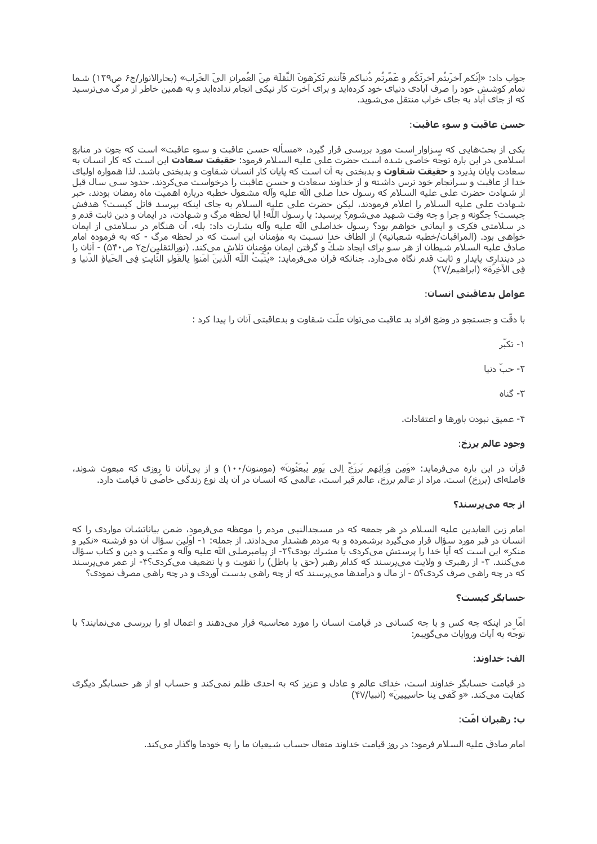جواب داد: «اِنَّكم اَخرَبتُم آخرتَكُم و عَمَّرتُم دُنياكم فَأنتم تَكرَهونَ النَّقلَة مِنَ العُمرانِ اليَ الخَراب» (بحارالانوار/ج۶ ص١٢٩) شـما تمام کوشش خود را صرف آبادک دنیاک خود کردهاید و براک آخرت کار نیکی انجام ندادهاید و به همین خاطر از مرگ میترسید که از جاک آباد به جاک خراب منتقل میشوید.

### حسن عاقبت و سوء عاقبت:

یکی از بحثهایی که سزاوار است مورد بررسی قرار گیرد، «مسأله حسن عاقبت و سوء عاقبت» است که چون در منابع اسـلامي در اين باره توجّه خاصّي شـده اسـت حضرت عـلي عليه السـلام فرمود: **حقيقت سـعادت** اين اسـت كه كار انسـان به سعادت پایان پذیرد و **حقیقت شقاوت** و بدیختی به آن است که پایان کار انسان شقاوت و بدیختی باشد. لذا همواره اولیای خدا از عاقبت و سرانجام خود ترس داشته و از خداوند سعادت و حسـن عاقبت را درخواسـت میکردند. حدود سـی سـال قبل از شـهادت حضرت علي عليه السـلام كه رسول خداً صلي الله عليه وآله مشغول خطبه درباره اهميّت ماه رمضان بودند، خبر شـهادت على عليه السـلام را اعلام فرمودند، ليكن حضرت على عليه السـلام به جاي اينكه بيرسـد قاتل كيسـت؟ هدفش چیست؟ چگونه و چرا و چه وقت شـهید می شـوم؟ پرسـید: یا رسـول اللّه! آیا لحظه مرگ و شـهادت، در ایمان و دین ثابت قدم و در سلامتی فکری و ایمانی خواهم بود؟ رسول خداصلی الله علیه وآله بشارت داد: بله، آن هنگام در سلامتی از ایمان خواهي بود. (المراقبات/خطبه شعبانيه) از الطاف خدا نسبت به مؤمنان اين است كه در لحظه مرگ - كه به فرموده امام صادق عليه السـلام شـيطان از هر سـو براى ايجاد شـكّ و گرفتن ايمان مؤمنان تِلاش مىكند. (نورالثقلين/ج٢ ص٥۴٠) - آنان را در دينداري پايدار و ثابت قدم نگاه ميدارد. چنانكه قرآن ميفرمايد: «يُثَبّتُ اللّه الّذينَ آمَنوا بِالقَولِ الثّابِتِ فِي الحَياةِ الدّنيا و في الآخرَة» (إبراهيم/٢٧)

## عوامل بدعاقبتي انسان:

با دقّت و جستجو در وضع افراد بد عاقبت میتوان علّت شـقاوت و بدعاقبتی آنان را پیدا کرد :

۱- تکبّر

٢- چپّ دنيا

۳- گناه

۴- عمیق نبودن باورها و اعتقادات.

## وجود عالم برزخ:

قرآن در این باره میفرماید: «وَمِن وَرائِهِم بَرزَخٌ اِلی یَومِ یُبعَثُونَ» (مومنون/۱۰۰) و از پیآنان تا روزی که مبعوث شوند، فاصلهای (برزخ) است. مراد از عالم برزخ، عالم قبر است، عالمی که انسان در آن یك نوع زندگی خاصی تا قیامت دارد.

## از چه مېپرسند؟

امام زین العابدین علیه السلام در هر جمعه که در مسجدالنبی مردم را موعظه میفرمود، ضمن بیاناتشان مواردی را که انسان در قبر مورد سؤال قرار میگیرد برشمرده و به مردم هشدار میدادند. از جمله: ۱- اوّلین سؤال آن دو فرشته «نکیر و منکر» این است که آیا خدا را پرستش میکردی یا مشرك بودی؟۲- از پیامبرصلی الله علیه وآله و مکتب و دین و کتاب سؤال میکنند. ۳- از رهبری و ولایت میپرسند که کدام رهبر (حق یا باطل) را تقویت و یا تضعیف میکردی؟۴- از عمر میپرسند که در چه راهی صرف کردی؟۵ - از مال و درآمدها میپرسند که از چه راهی بدست آوردی و در چه راهی مصرف نمودی؟

## حسابگر کیست؟

امّا در اینکه چه کس و یا چه کسانی در قیامت انسان را مورد محاسبه قرار میدهند و اعمال او را بررسی مینمایند؟ با توجّه به آیات وروایات میگوییم:

## الف: خداوند:

در قیامت حسابگر خداوند است، خدای عالم و عادل و عزیز که به احدی ظلم نمیکند و حساب او از هر حسابگر دیگری کفایت میکند. «و کَفی بِنا حاسِبِینَ» (انبیا/۴۷)

## ب: رهبران امّت:

امام صادق عليه السـلام فرمود: در روز قيامت خداوند متعال حسـاب شـيعيان ما را به خودما واگذار مـيکند.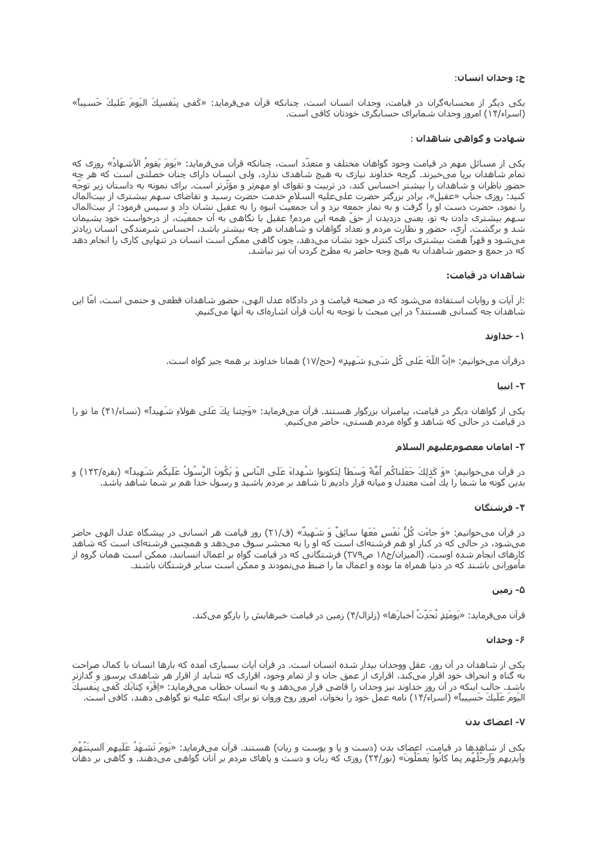## ج: وجدان انسان:

يكى ديگر از محسابەگران در قيامت، وجدان انسان است، چنانكە قرآن مىڧرمايد: «كَفى بِنَفسِكَ اليَومَ عَليكَ حَسيباً» (اسراء/۱۴) امروز وجدان شمابرای حسابگری خودتان کافی است.

## شهادت و گواهی شاهدان :

یکی از مسائل مهم در قیامت وجود گواهان مختلف و متعدّد است، چنانکه قرآن میفرماید: «یَومَ یَقومُ الاَشـهادُ» روزی که تمام شاهدان برپا میخیزند. گرچه خداوند نیازی به هیچ شاهدی ندارد، ولی انسان دارای چنان خصلتی است که هر چه حضور ناظران و شاهدان را بیشتر احساس کند، در تربیت و تقوای او مهمرتر و مؤثّرتر است. برای نمونه به داستان زیر توجّه کنید: روزی جناب «عقیل»، برادر بزرگتر حضرت علیعلیه السلام خدمت حضرت رسید و تقاضای سـهم بیشتری از بیت|لمال را نمود، حضرت دست او را گرفت و به نماز جمعه برد و آن جمعیّت انبوه را به عقیل نشان داد و سپس فرمود: از بیتالمال سـهم بيشـترې دادن به تو، يعني دزديدن از حقّ همه اين مردم! عقيل با نگاهي به آن جمعيّت، از درخواسـت خود پشـيمان شد و برگشت. آري، حضور و نظارت مردم و تعداد گواهان و شـاهدان هر چه بيشـتر باشـد، احسـاس شـرمندگی انسـان زيادتر ميشود و قهراً همّت بيشترک براک کنترل خود نشان مي دهد، چون گاهي ممکن است انسان در تنهايي کاري را انجام دهد که در جمع و حضور شاهدان به هیچ وجه حاضر به مطرح کردن آن نیز نباشد.

## شاهدان در قیامت:

:از آیات و روایات استفاده میشود که در صحنه قیامت و در دادگاه عدل الهی، حضور شاهدان قطعی و حتمی است، امّا این شاهدان چه کسانی هستند؟ در این مبحث با توجه به آیات قرآن اشارهای به آنها میکنیم.

## ۱- خداوند

درقرآن ميخوانيم: «اِنَّ اللَّهَ عَلَى كُلِ شَيءٍ شَـهِيدٍ» (حج/١٧) همانا خداوند بر همه چيز گواه اسـت.

## ٢- انسا

یکی از گواهان دیگر در قیامت، پیامبران بزرگوار هستند. قرآن میفرماید: «وَجِئنا بِكَ عَلی هولاءِ شَـهِيداً» (نساء/۴۱) ما تو را در قیامت در حالی که شاهد و گواه مردم هستی، حاضر میکنیم.

## ٣- امامان معصومعليهم السلام

در قرآن ميخوانيم: «وَ كَذلِكَ جَعَلناكُم أُمَّةً وَسَطاً لِتَكونوا شُهِداءَ عَلَى النَّاسِ وَ يَكُونَ الرَّسُولُ عَلَيكُم شَهِيداً» (بقره/١۴٢) و بدین گونه ما شما را یك امت معتدل و میانه قرار دادیم تا شـاهد بر مردم باشـید و رسـول خدا هم بر شـما شـاهد باشـد.

## ۴- فرشتگان

در قرآن میخوانیم: «وَ جاءَت كُلُّ نَفْسٍ مَعَها سائِقٌ وَ شَمِیدٌ» (ق/٢١) روز قیامت هر انسانی در پیشگاه عدل الهی حاضر میشود، در حالی که در کنار او هم فرشتهای است که او را به محشر سوق میدهد و همچنین فرشتهای است که شاهد کارهای انجام شده اوست. (المیزان/ج۱۸ ص۳۷۹) فرشتگانی که در قیامت گواه بر اعمال انسانند، ممکن است همان گروه از مأموراني باشند كه در دنيا همراه ما بوده و اعمال ما را ضط ميiنمودند و ممكن است ساير فرشتگان باشند.

## ۵- زمین

قرآن میفرماید: «یَومَئِذٍ تَحَدِثَ آخبارَها» (زلزال/۴) زمین در قیامت خبرهایش را بازگو میکند.

## ۶- وجدان

یکی از شاهدان در آن روز، عقل ووجدان بیدار شده انسان است. در قرآن آیات بسیاری آمده که بارها انسان با کمال صراحت به گناه و انحراف خود اقرار میکند، اقراری از عمق جان و از تمام وجود، اقراری که شاید از اقرار هر شاهدی پرسوز و گدازتر باشد. جالب اينكه در آن روز خداوند نيز وجدان را قاضي قرار ميدهد و به انسـان خطاب ميڧرمايد: «اِقْرَء كِتابَك كَفي بِنَفسِكَ اليَومَ عَلَيكَ حَسِيباً» (اسراء/١۴) نامه عمل خود را بخوان، امروز روح وروان تو براک اينکه عليه تو گواهي دهند، کافي است.

## ۷- اعضای بدن

یکی از شاهدها در قیامت، اعضاک بدن (دست و پا و پوست و زبان) هستند. قرآن میفرماید: «یَومَ تَشـهِدَ عَلَیهِم اَلسِنَتَهَم وآپدِيهِم وآرجلَهم بِما کانوا يَعمَلونَ» (نور/۲۴) روزې که زبان و دست و پاهاې مردم بر آنان گواهي ميدهند. و گاهي بر دهان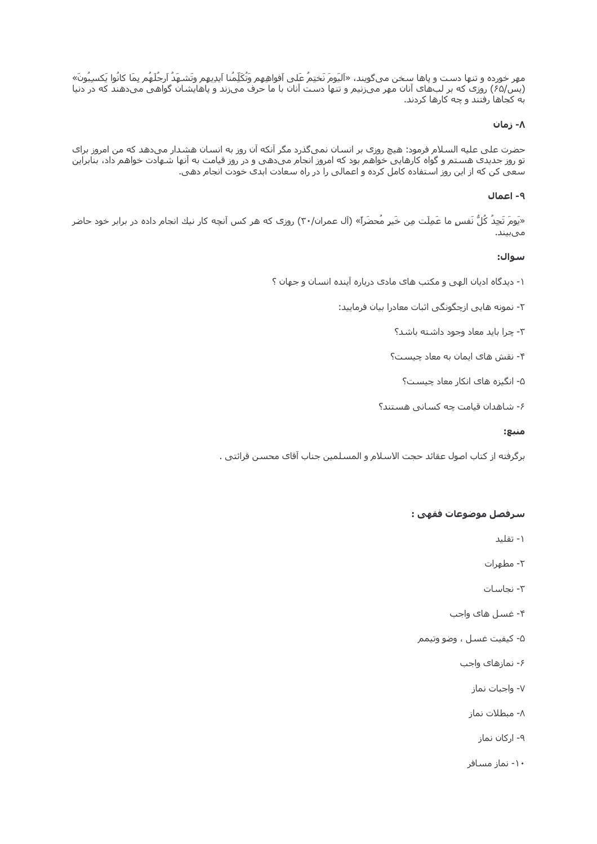مهر خورده و تنها دست و پاها سخن ميگويند، «اَليَومَ نَختِمُ عَلى اَفواهِهِم وَتُكَلِّمُنا اَيدِيهِم وتَشـهَدُ اَرجُلَهُم بِمَا كانُوا يَكسِبُونَ» (پس/۶۵) روزی که بر لب های آنان مهر می زنیم و تنها دست آنان با ما حرف می زند و پاهایشان گواهی می دهند که در دنیا به کجاها رفتند و چه کارها کردند.

### ۸- زمان

حضرت علی علیه السلام فرمود: هیچ روزی بر انسان نمیگذرد مگر آنکه آن روز به انسان هشدار میدهد که من امروز برای .<br>تو روز جدیدک هستم و گواه کارهایی خواهم بود که امروز انجام می دهی و در روز قیامت به آنها شـهادت خواهم داد، بنابراین<br>سعی کن که از این روز استفاده کامل کرده و اعمالی را در راه سعادت ابدک خودت انجام دهی.

### ٩- اعمال

«يَومَ تَجِدُ كُلُّ نَفسٍ ما عَمِلَت مِن خَيرٍ مُحضَراً» (آل عمران/٣٠) روزي که هر کس آنچه کار نيك انجام داده در برابر خود حاضر مىبيند.

#### سوال:

- ۱- دیدگاه ادیان الهی و مکتب های مادی درباره آینده انسان و جهان ؟
	- ۲- نمونه هایی ازچگونگی اثبات معادرا بیان فرمایید:
		- ۳- چرا باید معاد وجود داشته باشد؟
		- ۴- نقش های ایمان به معاد چیست؟
			- ۵- انگیزه هاک انکار معاد چیست؟
		- ۶- شاهدان قیامت چه کسانی هستند؟

#### منبع:

برگرفته از كتاب اصول عقائد حجت الاسلام و المسلمين جناب آقاي محسـن قرائتي .

## سرفصل موضوعات فقهي :

- ۱- تقلید
- ۲- مطهرات
- ٢- نجاسات
- ۴- غسل های واجب
- ۵- کیفیت غسـل ، وضو وتیمم
	- ۶- نمازهای واجب
		- ۷- واجبات نماز
		- ۸- میطلات نماز
			- ۹- ارکان نماز
		- ۱۰- نماز مسافر